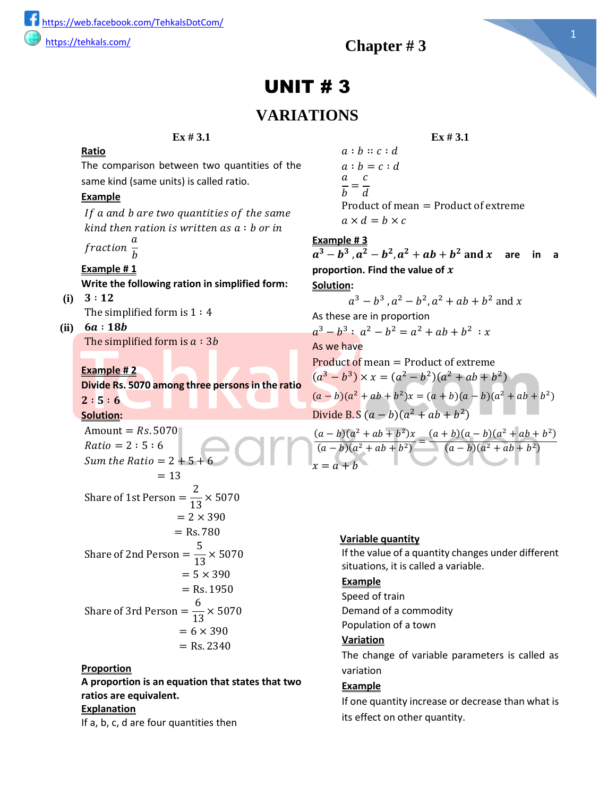## $-\bigcup\mathcal{D}$ - Qlq **Class 10th (KPK)**

\*\*\*\*\*\*\*\*\*\*\*\*\*\*\*\*\*\*\*\*\*\*\*\*\*\*\*\*\*\*\*\*\*\*\*\*\*\* 

\hhdg.##kYV"ZUWYVcc\_"Wca#HY\\_U`g8ch7ca#



 $\overline{f}$  \htdg.#AnY \\_U`g"W:a #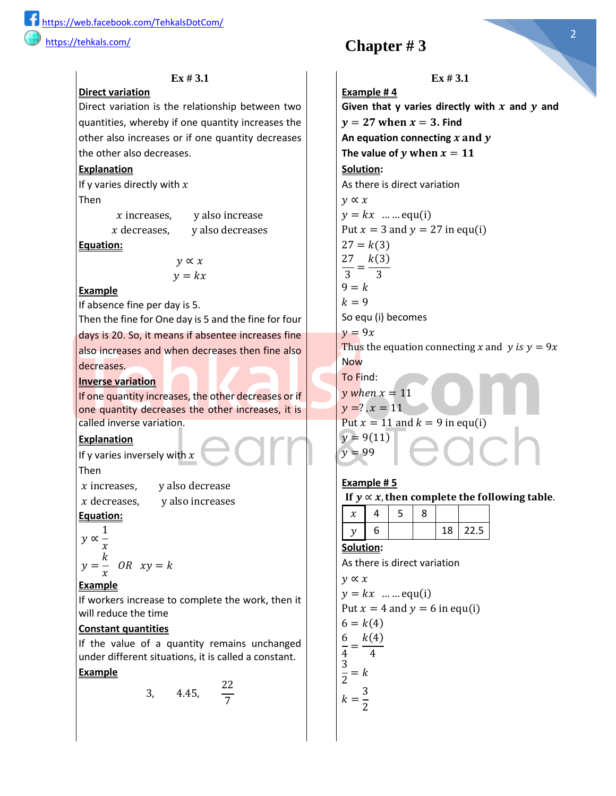## **UNIT #3**

## **VARIATIONS**

The comparison between two quantities of the same kind (same units) is called ratio.

#### **Example**

If a and b are two quantities of the same  $\,$  kind then ration is written as a  $: b$  or in

fraction  $\alpha$  $\boldsymbol{b}$ 

## **Example # 1**

**Write the following ration in simplified form:**

- $(i)$  3 : 12 The simplified form is 1 ∶ 4
- $(ii)$   $6a : 18b$

The simplified form is  $a : 3b$ 

#### **Example # 2**

**Divide Rs. 5070 among three persons in the ratio**   $2:5:6$ 

## **Solution:**

Amount = Rs. 5070  
\nRatio = 2 : 5 : 6  
\nSum the Ratio = 2 + 5 + 6  
\n= 13  
\nShare of 1st Person = 
$$
\frac{2}{13} \times 5070
$$
  
\n= 2 × 390  
\n= Rs. 780  
\nShare of 2nd Person =  $\frac{5}{13} \times 5070$   
\n= 5 × 390  
\n= Rs. 1950  
\nShare of 3rd Person =  $\frac{6}{13} \times 5070$   
\n= 6 × 390  
\n= Rs. 2340

#### **Proportion**

**A proportion is an equation that states that two ratios are equivalent. Explanation**

If a, b, c, d are four quantities then

**Ex # 3.1 Ex # 3.1 Ratio**  $a:b::c:d$  $a : b = c : d$  $\boldsymbol{a}$  $\frac{a}{b}$  =  $\mathcal{C}$  $\overline{d}$ Product of mean = Product of extreme  $a \times d = b \times c$ **Example # 3**  $a^3 - b^3$ ,  $a^2 - b^2$ ,  $a^2 + ab + b^2$  and x are in a **proportion. Find the value of** 

**Solution:**

 $a^3 - b^3$ ,  $a^2 - b^2$ ,  $a^2 + ab + b^2$  and x

As these are in proportion

 $a^3-b^3$ :  $a^2-b^2=a^2+ab+b^2$ : x As we have

Product of mean = Product of extreme

 $(a^3-b^3) \times x = (a^2-b^2)(a^2+ab+b^2)$  $(a - b)(a<sup>2</sup> + ab + b<sup>2</sup>)x = (a + b)(a - b)(a<sup>2</sup> + ab + b<sup>2</sup>)$ Divide B. S  $(a - b)(a^2 + ab + b^2)$ 

$$
\frac{(a-b)(a^2+ab+b^2)x}{(a-b)(a^2+ab+b^2)} = \frac{(a+b)(a-b)(a^2+ab+b^2)}{(a-b)(a^2+ab+b^2)}
$$
  
x = a + b

#### **Variable quantity**

If the value of a quantity changes under different situations, it is called a variable.

#### **Example**

Speed of train Demand of a commodity Population of a town

#### **Variation**

The change of variable parameters is called as variation

## **Example**

If one quantity increase or decrease than what is its effect on other quantity.

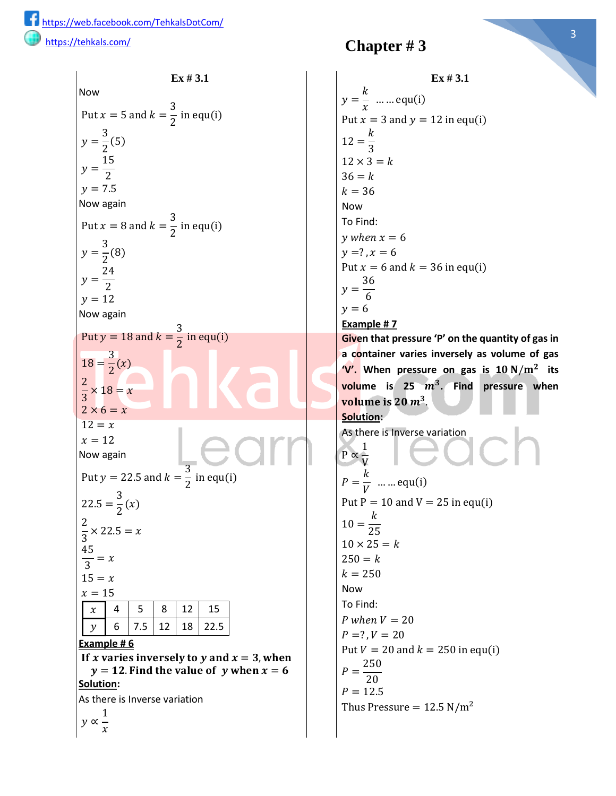| <b>Direct variation</b>                              | Example #4                    |
|------------------------------------------------------|-------------------------------|
| Direct variation is the relationship between two     | Given that y varies o         |
| quantities, whereby if one quantity increases the    | $y = 27$ when $x = 3$ .       |
| other also increases or if one quantity decreases    | An equation connect           |
| the other also decreases.                            | The value of $y$ when         |
| <b>Explanation</b>                                   | Solution:                     |
| If y varies directly with $x$                        | As there is direct varia      |
| Then                                                 | $y \propto x$                 |
| y also increase<br>$x$ increases,                    | $y = kx$ equ(i)               |
| $x$ decreases, y also decreases                      | Put $x = 3$ and $y = 2'$      |
| Equation:                                            | $27 = k(3)$                   |
| $y \propto x$                                        | $rac{27}{3} = \frac{k(3)}{3}$ |
| $y = kx$                                             |                               |
| <b>Example</b>                                       | $9 = k$                       |
| If absence fine per day is 5.                        | $k = 9$                       |
| Then the fine for One day is 5 and the fine for four | So equ (i) becomes            |
| days is 20. So, it means if absentee increases fine  | $y = 9x$                      |
| also increases and when decreases then fine also     | Thus the equation cor         |
| decreases.                                           | <b>Now</b>                    |
| <b>Inverse variation</b>                             | To Find:                      |
| If one quantity increases, the other decreases or if | y when $x = 11$               |
| one quantity decreases the other increases, it is    | $y = ?$ , $x = 11$            |
| called inverse variation.                            | Put $x = 11$ and $k = 9$      |
| <b>Explanation</b>                                   | $y = 9(11)$                   |
| If y varies inversely with $x$                       | $y = 99$                      |
| Then                                                 |                               |
| $x$ increases, y also decrease                       | Example #5                    |
| $x$ decreases, $y$ also increases                    | If $y \propto x$ , then comp  |
| Equation:                                            | 5<br>4<br>8<br>$\pmb{\chi}$   |
| $y \propto \frac{1}{x}$                              | 6<br>$\mathcal{Y}$            |
|                                                      | Solution:                     |
| $\boldsymbol{k}$<br>$OR$ $xy = k$<br>$v = -$         | As there is direct varia      |

$$
y = \frac{k}{x}
$$
 OR  $xy =$ 

## **Example**

If workers increase to complete the work, then it will reduce the time

## **Constant quantities**

If the value of a quantity remains unchanged under different situations, it is called a constant.

## **Example**

3, 4.45, 
$$
\frac{22}{7}
$$

## **Chapter # 3**

## **Ex** # 3.1 **Ex** # 3.1

**Girectly with**  $x$  and  $y$  and = = **. Find**  $\sin g x$  and  $y$  $x = 11$ ation  $7$  in equ(i) nnecting x and y is  $y = 9x$  $9$  in equ(i)

```
lete the following table.
```

|   | 8 |             |
|---|---|-------------|
| 6 |   | $18$   22.5 |

As there is direct variation

 ∝ = … … equ(i) Put = 4 and = 6 in equ(i) 6 = (4) 6 4 = (4) 4 3 2 = = 3 2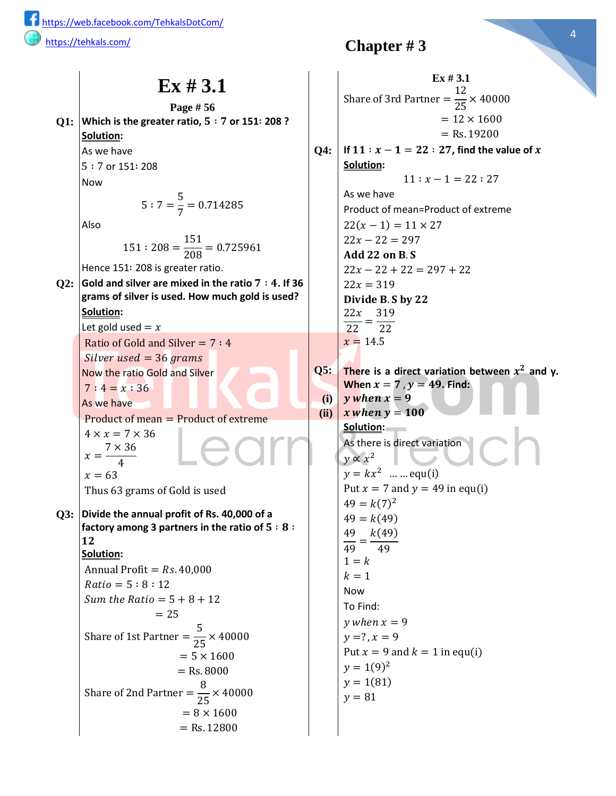2

2

**Ex** # 3.1 **Ex** # 3.1 Now Put  $x = 5$  and  $k =$ 3  $\frac{1}{2}$  in equ(i)  $y =$ 3  $\frac{2}{2}(5)$  $y =$ 15 2  $y = 7.5$ Now again Put  $x = 8$  and  $k =$ 3  $\frac{1}{2}$  in equ(i)  $y =$ 3  $\frac{5}{2}(8)$  $y =$ 24 2  $y = 12$ Now again Put  $y = 18$  and  $k =$ 3  $\frac{1}{2}$  in equ(i)  $18 =$ 3  $\frac{1}{2}(x)$  $\frac{1}{3} \times 18 = x$  $2 \times 6 = x$  $12 = x$  $x = 12$ Now again Put  $y = 22.5$  and  $k =$ 3  $\frac{1}{2}$  in equ(i)  $22.5 =$ 3  $\frac{1}{2}(x)$  $\frac{1}{3}$  × 22.5 = x 45  $\frac{1}{3} = x$  $15 = x$  $x = 15$  $x$  | 4 | 5 | 8 | 12 | 15  $\nu$  6 7.5 12 18 22.5  $y =$  $\boldsymbol{k}$  $\frac{\pi}{x}$  ... ... equ(i) Put  $x = 3$  and  $y = 12$  in equ(i)  $12 =$  $\boldsymbol{k}$ 3  $12 \times 3 = k$  $36 = k$  $k = 36$ Now To Find: y when  $x = 6$  $y = ?$ ,  $x = 6$ Put  $x = 6$  and  $k = 36$  in equ(i)  $y =$ 36 6  $y = 6$ **Example # 7 Given that pressure 'P' on the quantity of gas in a container varies inversely as volume of gas**   $\mathbf{W}'$ . When pressure on gas is  $10 \text{ N/m}^2$  its **volume is 25 . Find pressure when**  <mark>vol</mark>ume is 20 m<sup>3</sup>. **Solution:** As there is Inverse variation P ∝ 1 V  $P =$  $\boldsymbol{k}$  $\frac{n}{V}$  ... ... equ(i) Put  $P = 10$  and  $V = 25$  in equ(i)  $10 =$  $\boldsymbol{k}$ 25  $10 \times 25 = k$  $250 = k$  $k = 250$ Now To Find:  $P$  when  $V = 20$  $P = ?$ ,  $V = 20$ Put  $V = 20$  and  $k = 250$  in equ(i)  $P =$ 250 20  $P = 12.5$ Thus Pressure =  $12.5$  N/m<sup>2</sup> **Example # 6** If x varies inversely to y and  $x = 3$ , when  $y = 12$ . Find the value of y when  $x = 6$ **Solution:** As there is Inverse variation y ∝ 1  $\mathcal{X}$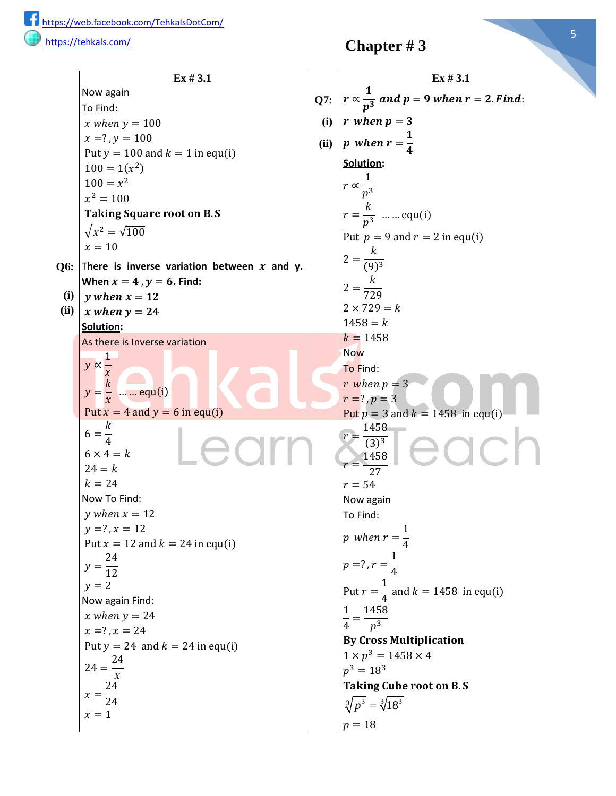**Page # 56 Q1: Which is the greater ratio, 5 ∶ 7 or 151∶ 208 ? Solution:** As we have

5 ∶ 7 or 151∶ 208 Now

 $7:4 = x:36$ 

4

Also

 $5:7=$ 5  $\frac{2}{7}$  = 0.714285

 $151 : 208 =$ 151  $\frac{120}{208} = 0.725961$ 

Hence 151∶ 208 is greater ratio.

**Q2: Gold and silver are mixed in the ratio**  $7:4$ **. If 36 grams of silver is used. How much gold is used? Solution:** Let gold used  $=x$ 

Ratio of Gold and Silver  $= 7:4$  $Silver$  used = 36 grams Now the ratio Gold and Silver

As we have Product of mean = Product of extreme  $4 \times x = 7 \times 36$  $x =$  $7 \times 36$ 

 $x = 63$ Thus 63 grams of Gold is used

**Q3: Divide the annual profit of Rs. 40,000 of a**  factory among 3 partners in the ratio of  $5:8:$ 12 **Solution:**

Annual Profit =  $Rs.40,000$  $Ratio = 5 : 8 : 12$  $Sum the Ratio = 5 + 8 + 12$  $= 25$ Share of 1st Partner = 5  $\frac{1}{25}$  × 40000  $= 5 \times 1600$  $=$  Rs. 8000 Share of 2nd Partner = 8  $\frac{1}{25}$  × 40000  $= 8 \times 1600$  $=$  Rs. 12800

## **Chapter # 3**

**Ex** # 3.1 **Ex** # 3.1 Share of 3rd Partner = 12  $\frac{2}{25}$  × 40000  $= 12 \times 1600$  $=$  Rs. 19200 **Q4: If 11** :  $x - 1 = 22$  : 27, find the value of x **Solution:**  $11 : x - 1 = 22 : 27$ As we have Product of mean=Product of extreme  $22(x - 1) = 11 \times 27$  $22x - 22 = 297$ Add 22 on B.S.  $22x - 22 + 22 = 297 + 22$  $22x = 319$ Divide B. S by 22  $22x$  $\frac{12}{22}$  = 319 22  $x = 14.5$ **Q5:** There is a direct variation between  $x^2$  and y. **When**  $x = 7$ ,  $y = 49$ . Find:  $(i)$  y when  $x = 9$  $(iii)$   $x$  when  $y = 100$ **Solution:** As there is direct variation  $y \propto x^2$  $y = kx^2$  ... ... equ(i) Put  $x = 7$  and  $y = 49$  in equ(i)  $49 = k(7)^2$  $49 = k(49)$ 49  $\frac{1}{49}$  =  $k(49)$ 49  $1 = k$  $k = 1$ Now To Find: y when  $x = 9$  $y = ?$ ,  $x = 9$ Put  $x = 9$  and  $k = 1$  in equ(i)  $y = 1(9)^2$  $y = 1(81)$  $y = 81$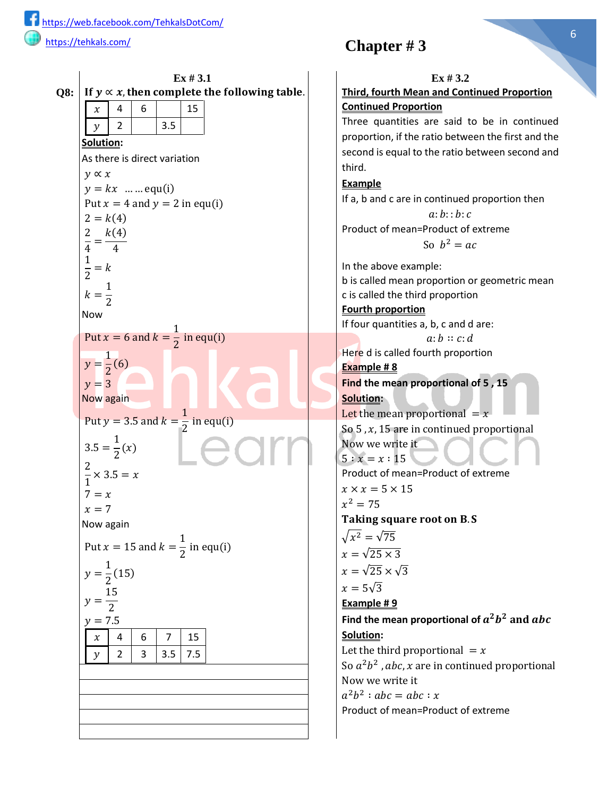**Ex** # 3.1 **Ex** # 3.1 Now again To Find: x when  $y = 100$  $x = ?$ ,  $y = 100$ Put  $y = 100$  and  $k = 1$  in equ(i)  $100 = 1(x^2)$  $100 = x^2$  $x^2 = 100$ **Taking Square root on B.S**  $\sqrt{x^2} = \sqrt{100}$  $x = 10$  $Q7:$  $\mathbf{1}$  $\frac{\overline{-}}{p^3}$  and  $p=9$  when  $r=2$ . Find: r when  $p=3$  $p \text{ when } r =$  $\mathbf{1}$ 4 **Solution:** r ∝ 1  $p^3$  $r =$  $\boldsymbol{k}$  $\frac{1}{p^3}$  ... ... equ(i) Put  $p = 9$  and  $r = 2$  in equ(i)  $2 =$  $\boldsymbol{k}$  $(9)^3$  $2 =$  $\boldsymbol{k}$ 729  $2 \times 729 = k$  $1458 = k$  $k = 1458$ Now To Find: r when  $p = 3$  $r = ?$ ,  $p = 3$ Put  $p = 3$  and  $k = 1458$  in equ(i)  $\overline{r}$  = 1458  $(3)<sup>3</sup>$  $r =$ 1458  $\overline{27}$  $r = 54$ Now again To Find:  $p \text{ when } r =$ 1 4  $p = ?$  ,  $r =$ 1 4 Put  $r =$ 1  $\frac{1}{4}$  and  $k = 1458$  in equ(i) 1  $\frac{1}{4}$  = 1458  $p^3$ **By Cross Multiplication**  $1 \times p^3 = 1458 \times 4$  $p^3 = 18^3$ **Taking Cube root on B.S**  $\sqrt[3]{p^3} = \sqrt[3]{18^3}$  $p = 18$ **(i) (ii) Q6:** There is inverse variation between  $x$  and y. **When**  $x = 4$ ,  $y = 6$ . Find: y when  $x=12$ x when  $y = 24$ **Solution:** As there is Inverse variation  $y \propto$ 1  $\mathcal{X}$  $y = \frac{1}{x}$  ... ... equ(i) k Put  $x = 4$  and  $y = 6$  in equ(i)  $6 = \frac{1}{4}$  $\boldsymbol{k}$  $6 \times 4 = k$  $24 = k$  $k = 24$ Now To Find: y when  $x = 12$  $y = ?$ ,  $x = 12$ Put  $x = 12$  and  $k = 24$  in equ(i)  $y = \frac{1}{12}$ 24  $y = 2$ Now again Find:  $x$  when  $y = 24$  $x = ?$ ,  $x = 24$ Put  $y = 24$  and  $k = 24$  in equ(i)  $24 = -$ 24  $\mathcal{X}$  $x =$ 24 24  $x = 1$ **(i) (ii)**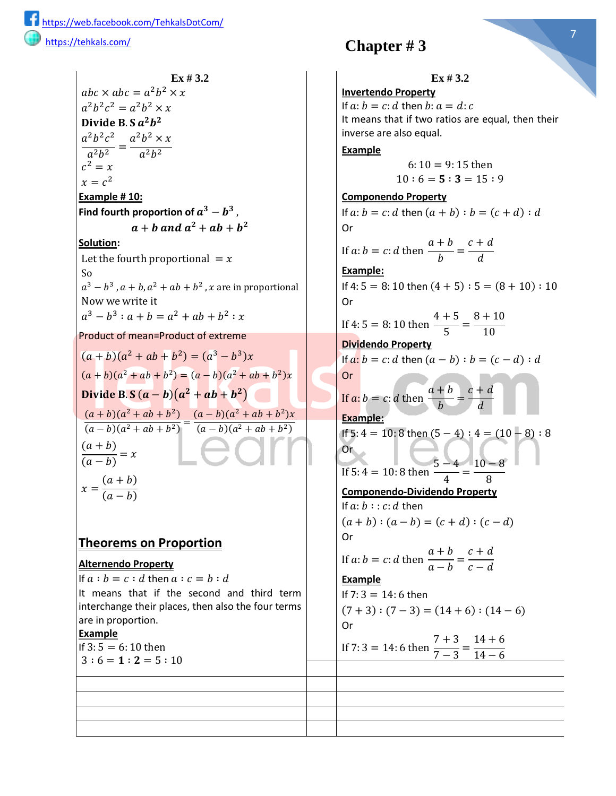**Ex** # 3.1 **Ex** # 3.2 **Q8:** If  $y \propto x$ , then complete the following table.  $x \mid 4 \mid 6 \mid 15$  $y$  2 3.5 **Solution:** As there is direct variation  $y \propto x$  $y = kx$  ... ... equ(i) Put  $x = 4$  and  $y = 2$  in equ(i)  $2 = k(4)$ 2  $\frac{1}{4}$  =  $k(4)$ 4 1  $\frac{1}{2} = k$  $k=$ 1 2 Now Put  $x = 6$  and  $k =$ 1  $\frac{1}{2}$  in equ(i)  $y =$ 1  $\frac{1}{2}(6)$  $v = 3$ Now again Put  $y = 3.5$  and  $k =$ 1  $\frac{1}{2}$  in equ(i)  $3.5 =$ 1  $\frac{1}{2}(x)$ 2  $\frac{1}{1} \times 3.5 = x$  $7 = x$  $x = 7$ Now again Put  $x = 15$  and  $k =$ 1  $\frac{1}{2}$  in equ(i)  $y =$ 1  $\frac{2}{2}(15)$  $y =$ 15 2  $v = 7.5$  $x$  | 4 | 6 | 7 | 15  $y$  | 2 | 3 | 3.5 | 7.5

## **Chapter # 3**

## **Third, fourth Mean and Continued Proportion Continued Proportion** Three quantities are said to be in continued proportion, if the ratio between the first and the second is equal to the ratio between second and third. **Example** If a, b and c are in continued proportion then  $a:b::b:c$ Product of mean=Product of extreme So  $b^2 = ac$ In the above example: b is called mean proportion or geometric mean c is called the third proportion **Fourth proportion** If four quantities a, b, c and d are:  $a:b :: c:d$ Here d is called fourth proportion **Example # 8 Find the mean proportional of 5 , 15 Solution:** Let the mean proportional  $=x$ So  $5, x, 15$  are in continued proportional Now we write it  $5: x = x : 15$ Product of mean=Product of extreme  $x \times x = 5 \times 15$  $x^2 = 75$ Taking square root on B.S  $\sqrt{x^2} = \sqrt{75}$  $x = \sqrt{25 \times 3}$  $x = \sqrt{25} \times \sqrt{3}$  $x = 5\sqrt{3}$ **Example # 9** Find the mean proportional of  $a^2b^2$  and  $abc$ **Solution:** Let the third proportional  $=x$ So  $a^2b^2$  , abc, x are in continued proportional Now we write it  $a^2b^2 : abc = abc : x$ Product of mean=Product of extreme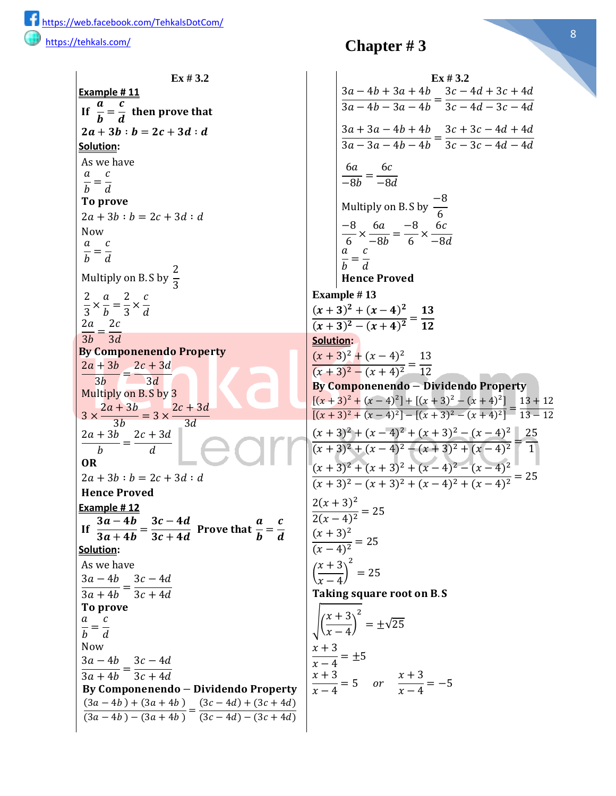**Ex** # 3.2 **Ex** # 3.2  $abc \times abc = a^2b^2 \times x$  $a^2b^2c^2 = a^2b^2 \times x$ Divide B. S  $a^2b^2$  $a^2b^2c^2$  $\frac{1}{a^2b^2} =$  $a^2b^2 \times x$  $a^2b^2$  $c^2 = x$  $x = c^2$ **Example # 10: Componendo Property** Find fourth proportion of  $a^3-b^3$  ,  $a + b$  and  $a^2 + ab + b^2$ **Solution:** Let the fourth proportional  $=x$ So  $a^3 - b^3$ ,  $a + b$ ,  $a^2 + ab + b^2$ , x are in proportional Now we write it  $a^3 - b^3 : a + b = a^2 + ab + b^2 : x$ Product of mean=Product of extreme  $(a + b)(a<sup>2</sup> + ab + b<sup>2</sup>) = (a<sup>3</sup> – b<sup>3</sup>)x$  $(a + b)(a<sup>2</sup> + ab + b<sup>2</sup>) = (a - b)(a<sup>2</sup> + ab + b<sup>2</sup>)x$ **Divide B. S**  $(a - b)(a^2 + ab + b^2)$  $(a + b)(a<sup>2</sup> + ab + b<sup>2</sup>)$  $\frac{(a + b)(a^2 + ab + b^2)}{(a - b)(a^2 + ab + b^2)} = \frac{(a - b)(a^2 + ab + b^2)x}{(a - b)(a^2 + ab + b^2)}$  $(a - b)(a^2 + ab + b^2)$  $(a + b)$  $\frac{(a + b)}{(a - b)} = x$  $x =$  $(a + b)$  $(a - b)$ **Theorems on Proportion Alternendo Property** If  $a : b = c : d$  then  $a : c = b : d$ 

It means that if the second and third term interchange their places, then also the four terms are in proportion.

#### **Example**

If  $3: 5 = 6: 10$  then  $3:6=1:2=5:10$ 

## **Chapter # 3**



**Invertendo Property** If  $a$ :  $b = c$ :  $d$  then  $b$ :  $a = d$ :  $c$ It means that if two ratios are equal, then their inverse are also equal. **Example** 6:  $10 = 9:15$  then  $10 : 6 = 5 : 3 = 15 : 9$ If  $a : b = c : d$  then  $(a + b) : b = (c + d) : d$ Or If  $a$ :  $b = c$ :  $d$  then  $a + b$  $\frac{1}{b}$  $c+d$  $\boldsymbol{d}$ **Example:** If  $4: 5 = 8:10$  then  $(4 + 5): 5 = (8 + 10): 10$ Or If  $4:5 = 8:10$  then 4 + 5  $\frac{1}{5}$  $8 + 10$ 10 **Dividendo Property** If  $a : b = c : d$  then  $(a - b) : b = (c - d) : d$ Or If  $a$ :  $b = c$ :  $d$  then  $a + b$  $\frac{1}{b}$  =  $c+d$  $\overline{d}$ **Example:** If 5:  $4 = 10:8$  then  $(5 - 4): 4 = (10 - 8): 8$ Or If  $5: 4 = 10: 8$  then  $5 - 4$  $\frac{1}{4}$  =  $10 - 8$ 8 **Componendo-Dividendo Property** If  $a : b :: c : d$  then  $(a + b) : (a - b) = (c + d) : (c - d)$ Or If  $a$ :  $b = c$ :  $d$  then  $a + b$  $\frac{a}{a-b} =$  $c+d$  $c-d$ **Example** If  $7: 3 = 14: 6$  then  $(7 + 3) : (7 - 3) = (14 + 6) : (14 - 6)$ Or If  $7:3 = 14:6$  then  $7 + 3$  $\frac{1}{7-3}$  $14 + 6$  $14 - 6$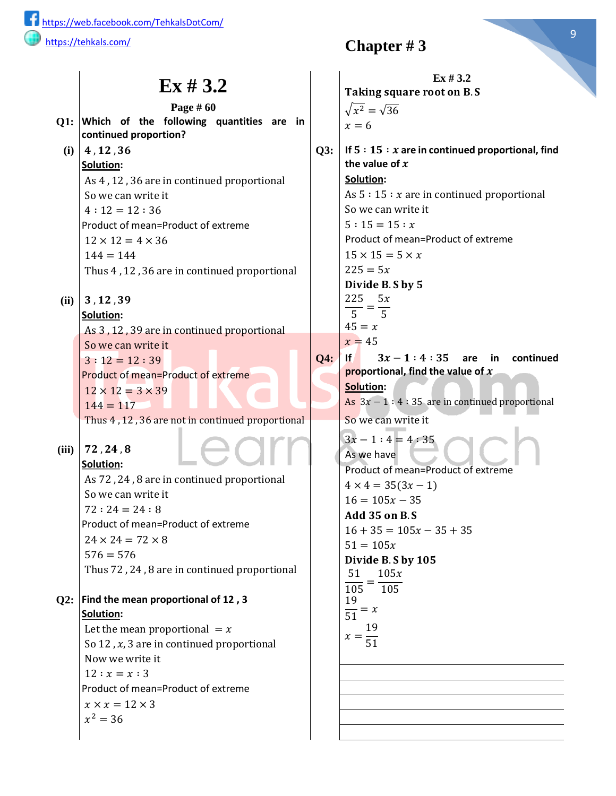**Ex** # 3.2 **Ex** # 3.2 **Example # 11**  $3a - 4b + 3a + 4b$  $\frac{3a - 4b - 3a - 4b}{a - 4b} =$  $3c - 4d + 3c + 4d$  $3c - 4d - 3c - 4d$  $3a + 3a - 4b + 4b$  $\frac{3a - 3a - 4b - 4b}{a} =$  $3c + 3c - 4d + 4d$  $3c - 3c - 4d - 4d$ 6  $\frac{-b}{-8b}$  = 6  $-8d$ Multiply on B. S by −8 6 −8  $\frac{1}{6}$   $\times$ 6  $\frac{-b}{-8b}$  = −8  $\frac{1}{6}$   $\times$ 6  $-8d$  $\alpha$  $\frac{a}{b}$  =  $\mathcal{C}_{0}$  $\boldsymbol{d}$ **Hence Proved** If  $\overline{a}$  $\frac{a}{b}$  =  $\overline{c}$  $\frac{1}{d}$  then prove that  $2a + 3b : b = 2c + 3d : d$ **Solution:** As we have  $\alpha$  $\frac{a}{b}$  =  $\mathcal{C}_{0}$  $\boldsymbol{d}$ To prove  $2a + 3b : b = 2c + 3d : d$ Now  $\alpha$  $\frac{a}{b}$  =  $\mathcal{C}_{0}$  $\boldsymbol{d}$ Multiply on B. S by 2 3 2  $\frac{1}{3}$   $\times$  $\alpha$  $\frac{c}{b}$  = 2  $\frac{1}{3}$   $\times$  $\mathcal{C}_{0}$  $\boldsymbol{d}$  $2a$  $\frac{1}{3b} =$  $2c$  $3d$ **By Componenendo Property**  $2a + 3b$  $\frac{1}{3b}$  =  $2c + 3d$  $3d$ Multiply on B. S by 3  $3 \times$  $2a + 3b$  $\frac{1}{3b} = 3 \times$  $2c + 3d$  $3d$  $2a + 3b$  $\frac{1}{b}$  $2c + 3d$  $\boldsymbol{d}$ OR  $2a + 3b : b = 2c + 3d : d$ **Hence Proved Example # 13**  $(x+3)^2 + (x-4)^2$  $\frac{(x+3)^2 - (x+4)^2}{(x+3)^2 - (x+4)^2} =$ 13 **12 Solution:**  $(x + 3)^2 + (x - 4)^2$  $\frac{(x+3)^2 - (x+4)^2}{}$ 13 12 By Componenendo – Dividendo Property  $[(x+3)^2 + (x-4)^2] + [(x+3)^2 - (x+4)^2]$  $\frac{[(x+3)^2 + (x-4)^2] + [(x+3)^2 - (x+4)^2]}{[(x+3)^2 + (x-4)^2] - [(x+3)^2 - (x+4)^2]} = \frac{13+12}{13-12}$ 13 −12  $(x+3)^2 + (x-4)^2 + (x+3)^2 - (x-4)^2$  $\frac{(x+2)(x+1)(x+2)}{(x+3)^2 + (x-4)^2 - (x+3)^2 + (x-4)^2} =$ 25 1  $(x + 3)^2 + (x + 3)^2 + (x - 4)^2 - (x - 4)^2$  $\frac{(x+2)(x+2)(x+2)}{(x+3)^2-(x+3)^2+(x-4)^2+(x-4)^2} = 25$  $2(x + 3)^2$  $\frac{2(x-4)^2}{(x-4)^2} = 25$  $(x + 3)^2$  $\frac{(x-3)^2}{(x-4)^2} = 25$ (  $x + 3$  $\frac{x-2}{x-4}$ 2  $= 25$ Taking square root on B.S  $\left| \left( \frac{x+3}{x} \right) \right|$  $\frac{x-2}{x-4}$ 2  $= \pm \sqrt{25}$  $x + 3$  $\frac{x-2}{x-4} = \pm 5$  $x + 3$  $\frac{x+2}{x-4} = 5$  or  $x + 3$  $\frac{x-2}{x-4} = -5$ **Example # 12** If  $3a-4b$  $\frac{12}{3a + 4b} =$  $3c-4d$  $\frac{1}{3c+4d}$  Prove that  $\boldsymbol{a}$  $\frac{a}{b}$  =  $\boldsymbol{c}$  $\boldsymbol{d}$ **Solution:** As we have  $3a - 4b$  $\frac{3a+4b}{b} =$  $3c - 4d$  $3c + 4d$ To prove  $\alpha$  $\frac{a}{b}$  =  $\mathcal{C}_{0}$  $\boldsymbol{d}$ Now  $3a - 4b$  $\frac{3a+4b}{b} =$  $3c - 4d$  $3c + 4d$ By Componenendo - Dividendo Property  $(3a - 4b) + (3a + 4b)$  $\frac{(3a-4b)+(3a+4b)}{(3a-4b)-(3a+4b)} = \frac{(3c-4d)+(3c+4d)}{(3c-4d)-(3c+4d)}$  $(3c - 4d) - (3c + 4d)$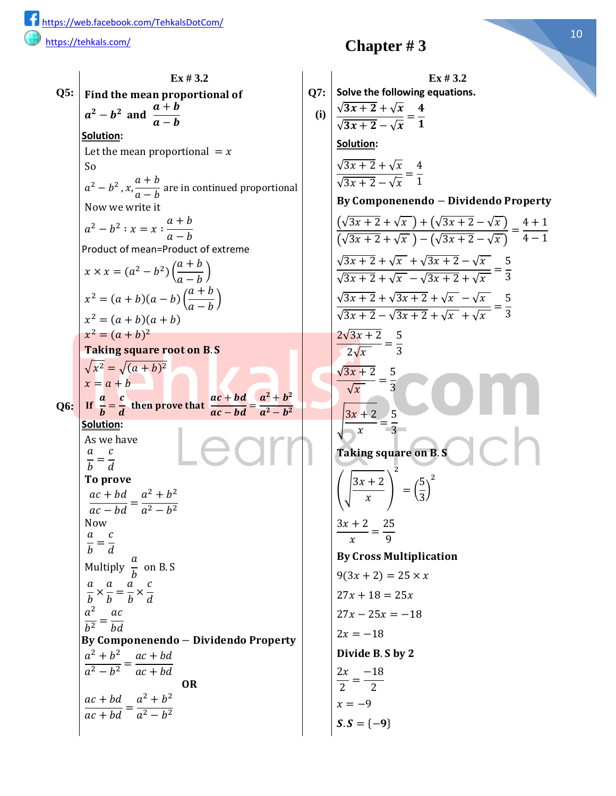**Ex # 3.2 Ex # 3.2** Taking square root on B.S  $\sqrt{x^2} = \sqrt{36}$  $x = 6$ **Page # 60 Q1: Which of the following quantities are in continued proportion?**  $(i)$  4, 12, 36 **Solution:** As 4 , 12 , 36 are in continued proportional So we can write it  $4:12=12:36$ Product of mean=Product of extreme  $12 \times 12 = 4 \times 36$  $144 = 144$ Thus 4 , 12 , 36 are in continued proportional **Q3: If 5** : 15 :  $x$  are in continued proportional, find the value of  $x$ **Solution:** As  $5: 15: x$  are in continued proportional So we can write it  $5: 15 = 15: x$ Product of mean=Product of extreme  $15 \times 15 = 5 \times x$  $225 = 5x$ Divide B. S by 5 225  $\frac{1}{5}$  =  $5x$ 5  $45 = x$  $x = 45$  $(ii)$  | 3, 12, 39 **Solution:** As 3 , 12 , 39 are in continued proportional So we can write it  $3:12 = 12:39$ Product of mean=Product of extreme  $12 \times 12 = 3 \times 39$  $144 = 117$ Thus 4 , 12 , 36 are not in continued proportional **Q4:** If  $3x - 1 : 4 : 35$  are in continued **proportional, find the value of Solution:** As  $3x - 1$  : 4 : 35 are in continued proportional So we can write it  $3x - 1 : 4 = 4 : 35$ As we have Product of mean=Product of extreme  $4 \times 4 = 35(3x - 1)$  $16 = 105x - 35$ Add 35 on B.S.  $16 + 35 = 105x - 35 + 35$  $51 = 105x$ Divide B. S by 105 51  $\frac{1}{105}$  =  $105x$ 105 19  $\frac{x}{51} = x$  $x =$ 19 51  $(iii)$  72, 24, 8 **Solution:** As 72 , 24 , 8 are in continued proportional So we can write it  $72:24=24:8$ Product of mean=Product of extreme  $24 \times 24 = 72 \times 8$  $576 = 576$ Thus 72 , 24 , 8 are in continued proportional **Q2: Find the mean proportional of 12 , 3 Solution:** Let the mean proportional  $=x$ So 12,  $x$ , 3 are in continued proportional Now we write it  $12 : x = x : 3$ Product of mean=Product of extreme  $x \times x = 12 \times 3$  $x^2 = 36$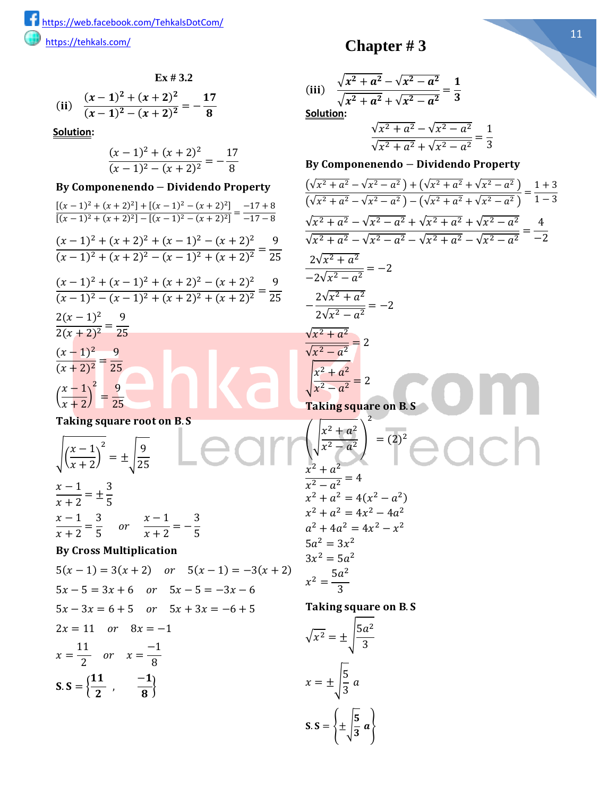Q5: | Find the mean proportional of  $a^2-b^2$  and  $\frac{a+b}{a+b}$  $a - b$ **Solution:** Let the mean proportional  $=x$ So  $a^2-b^2$  , x,  $a + b$  $\frac{a}{a-b}$  are in continued proportional Now we write it  $a^2 - b^2 : x = x$ :  $a + b$  $a-b$ Product of mean=Product of extreme  $x \times x = (a^2 - b^2)$  $a + b$  $\frac{a-b}{a-b}$  $x^2 = (a + b)(a - b)\left(\frac{a + b}{b}\right)$  $\frac{a-b}{a-b}$  $x^2 = (a + b)(a + b)$  $x^2 = (a + b)^2$ **Taking square root on B.S**  $\sqrt{x^2} = \sqrt{(a+b)^2}$  $x = a + b$ Q6: If  $\frac{a}{b}$  $\frac{a}{b} = \frac{c}{d}$  $\frac{c}{d}$  then prove that  $\frac{ac + bd}{ac - bd} = \frac{a^2 + b^2}{a^2 - b^2}$  $a^2-b^2$ **Solution:** As we have  $\alpha$  $\frac{c}{b}$  =  $\mathcal{C}$  $\boldsymbol{d}$ To prove  $ac + bd$  $\frac{ac - bd}{ac - bd} =$  $a^2 + b^2$  $a^2 - b^2$ Now  $\alpha$  $\frac{c}{b}$  =  $\mathcal{C}$  $\boldsymbol{d}$ Multiply  $\alpha$  $\frac{a}{b}$  on B. S  $\alpha$  $\frac{a}{b}$   $\times$  $\alpha$  $\frac{c}{b}$  =  $\overline{a}$  $\frac{a}{b}$   $\times$  $\mathcal{C}$  $\boldsymbol{d}$  $a^2$  $\frac{1}{b^2} =$ ac bd By Componenendo - Dividendo Property  $a^2 + b^2$  $\frac{a^2 - b^2}{a^2 - b^2} =$  $ac + bd$  $ac + bd$ **OR**  $ac + bd$  $\frac{ac + bd}{ac + bd} =$  $a^2 + b^2$  $a^2 - b^2$ 

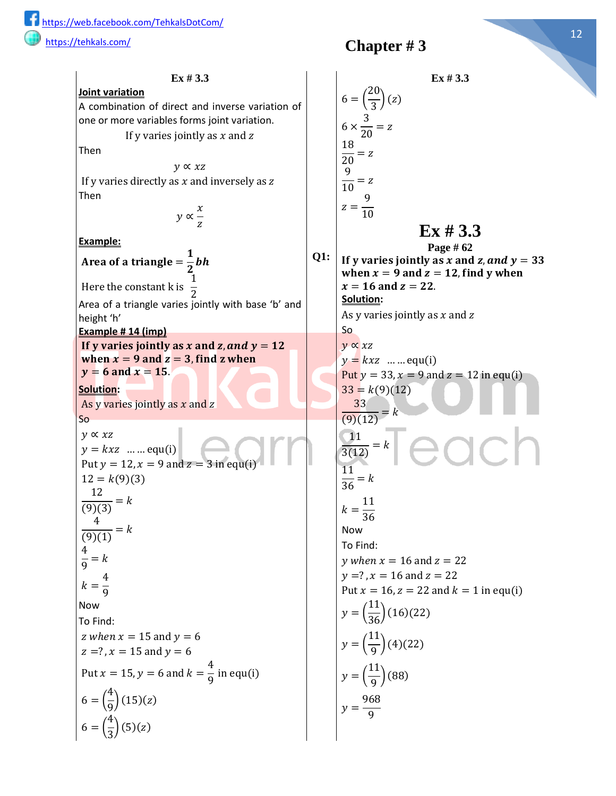Ex # 3.2  
(ii) 
$$
\frac{(x-1)^2 + (x+2)^2}{(x-1)^2 - (x+2)^2} = -\frac{17}{8}
$$

**Solution:**

(

$$
\frac{(x-1)^2 + (x+2)^2}{(x-1)^2 - (x+2)^2} = -\frac{17}{8}
$$

**Chapter # 3**

(iii) 
$$
\frac{\sqrt{x^2 + a^2} - \sqrt{x^2 - a^2}}{\sqrt{x^2 + a^2} + \sqrt{x^2 - a^2}} = \frac{1}{3}
$$

**Solution:**

$$
\frac{\sqrt{x^2 + a^2} - \sqrt{x^2 - a^2}}{\sqrt{x^2 + a^2} + \sqrt{x^2 - a^2}} = \frac{1}{3}
$$

−

By Compoundenendo - Dividendo Property  
\n
$$
\frac{[(x-1)^2 + (x + 2)^2] + [(x-1)^2 - (x + 2)^2]}{[(x-1)^2 + (x + 2)^2] + [(x-1)^2 - (x + 2)^2]} = \frac{-17 + 8}{-17 - 8}
$$
\n
$$
\frac{[(x-1)^2 + (x + 2)^2] + [(x-1)^2 - (x + 2)^2]}{[(x-1)^2 + (x + 2)^2] + [(x-1)^2 - (x + 2)^2]} = \frac{-17 + 8}{-17 - 8}
$$
\n
$$
\frac{(x-1)^2 + (x + 2)^2 + (x - 1)^2 - (x + 2)^2}{(x-1)^2 + (x + 2)^2 - (x - 1)^2 + (x + 2)^2} = \frac{9}{25}
$$
\n
$$
\frac{2\sqrt{x^2 + a^2}}{2\sqrt{x^2 - a^2}} = -2
$$
\n
$$
\frac{(x-1)^2 + (x-1)^2 + (x+2)^2 - (x + 2)^2}{(x-1)^2 + (x + 2)^2 + (x + 2)^2} = \frac{9}{25}
$$
\n
$$
\frac{2\sqrt{x^2 + a^2}}{2\sqrt{x^2 - a^2}} = -2
$$
\n
$$
\frac{(x-1)^2 - (x-1)^2 + (x+2)^2 + (x+2)^2}{(x+2)^2} = \frac{9}{25}
$$
\n
$$
\frac{2\sqrt{x^2 + a^2}}{2\sqrt{x^2 - a^2}} = -2
$$
\n
$$
\frac{(x-1)^2 - 9}{(x+2)^2} = \frac{9}{25}
$$
\n
$$
\frac{(x^2 + a^2)}{x^2 + a^2} = 2
$$
\nTaking square root on B.S  
\nTaking square root on B.S  
\nTaking square root on B.S  
\n
$$
\sqrt{\frac{x^2 + a^2}{x^2 - a^2}} = 2
$$
\n
$$
\frac{x^2 + a^2}{x^2 - a^2} = 4
$$
\n
$$
\frac{x^2 + a^2}{x^2 - a^2} = 4
$$
\n
$$
\frac{x^2 + a^2}{x^2 - a^2} = 4
$$
\n
$$
\frac{x^2 + a^2}{x^2 - a^2} = 4
$$
\n<math display="</p>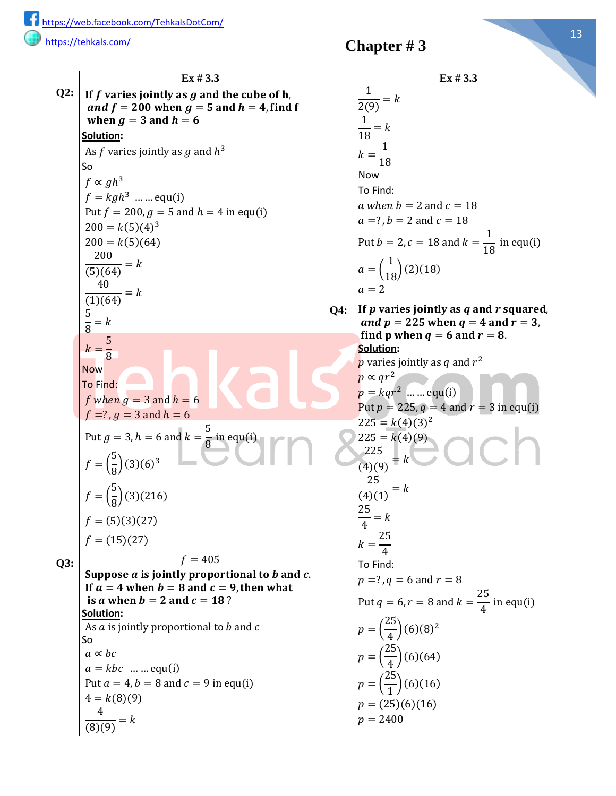4

**Ex # 3.3 Ex # 3.3 <u>Joint variation</u>**<br>A combination of direct and inverse variation of  $\begin{bmatrix} 6 \end{bmatrix} = \begin{bmatrix} 6 \end{bmatrix}$ 20  $\frac{1}{3}$  (z)  $6 \times$ 3  $\frac{1}{20} = z$ 18  $\frac{1}{20}$  = z 9  $\frac{1}{10} = z$  $z =$ 9 10 one or more variables forms joint variation. If y varies jointly as  $x$  and  $z$ Then  $y \propto xz$ If y varies directly as  $x$  and inversely as  $z$ Then y ∝  $\mathcal{X}$ Z **Ex # 3.3 Page # 62** If y varies jointly as x and z, and  $y = 33$ when  $x = 9$  and  $z = 12$ , find y when  $x = 16$  and  $z = 22$ . **Solution:** As y varies jointly as  $x$  and  $z$ So  $y \propto xz$  $y = kxz$  ... ... equ(i) Put  $y = 33$ ,  $x = 9$  and  $z = 12$  in equ(i)  $33 = k(9)(12)$ 33  $(9)(12)$  $= k$ 11 3(12)  $= k$  $\frac{11}{36}$  $= k$  $k=$ 11 36 Now To Find: *y* when  $x = 16$  and  $z = 22$  $y = ?$ ,  $x = 16$  and  $z = 22$ Put  $x = 16$ ,  $z = 22$  and  $k = 1$  in equ(i)  $y = ($ 11  $\frac{1}{36}$  (16)(22)  $y = ($ 11  $\frac{1}{9}$ (4)(22)  $y = ($ 11  $\frac{1}{9}$  (88)  $y =$ 968 9 **Example:** Area of a triangle  $=$  $\mathbf{1}$  $\frac{-}{2}$ bh Here the constant k is 1 2 Area of a triangle varies jointly with base 'b' and height 'h' **Q1: Example # 14 (imp)** If y varies jointly as x and z, and  $y = 12$ when  $x = 9$  and  $z = 3$ , find z when  $y = 6$  and  $x = 15$ . **Solution:** As y varies jointly as  $x$  and  $z$ So  $y \propto xz$  $y = kxz$  ... ... equ(i) Put  $y = 12$ ,  $x = 9$  and  $z = 3$  in equ(i)  $12 = k(9)(3)$ 12  $\frac{1}{(9)(3)} = k$ 4  $\frac{1}{(9)(1)} = k$  $\frac{1}{9} = k$  $k=$ 4 9 Now To Find: z when  $x = 15$  and  $y = 6$  $z = ?$ ,  $x = 15$  and  $y = 6$ Put  $x = 15$ ,  $y = 6$  and  $k =$ 4  $\frac{1}{9}$  in equ(i)  $6 = |$ 4  $\frac{1}{9}$ (15)(z)  $6 = |$ 4  $\frac{1}{3}$ (5)(z)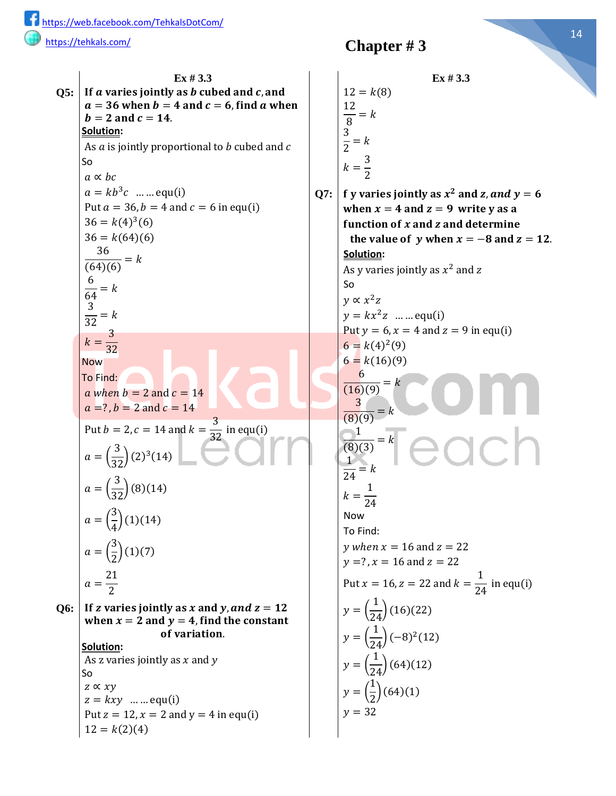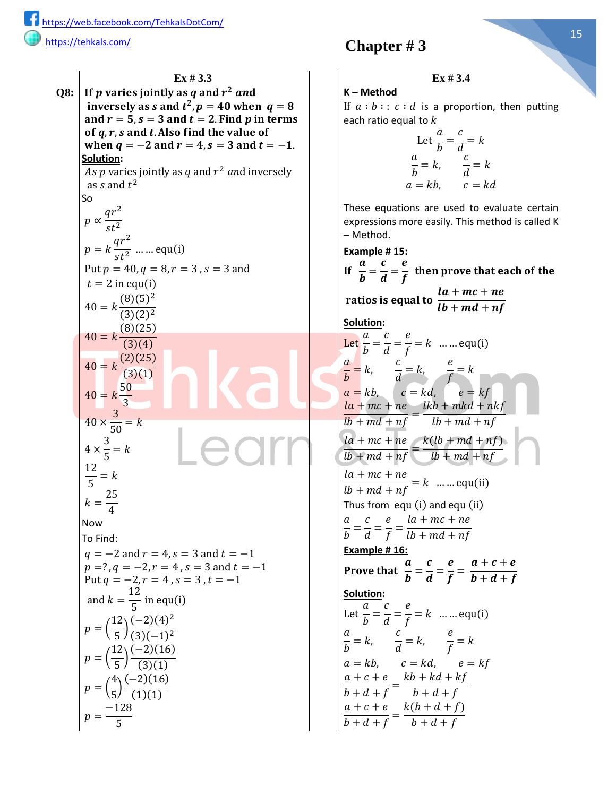|                  | $Ex \# 3.3$                                             |     | $Ex \# 3.3$                                              |
|------------------|---------------------------------------------------------|-----|----------------------------------------------------------|
| Q5:              | If $a$ varies jointly as $b$ cubed and $c$ , and        |     | $12 = k(8)$                                              |
|                  | $a = 36$ when $b = 4$ and $c = 6$ , find a when         |     |                                                          |
|                  | $b = 2$ and $c = 14$ .                                  |     | $\frac{12}{8} = k$                                       |
|                  | Solution:                                               |     | $\frac{3}{2} = k$                                        |
|                  | As $a$ is jointly proportional to $b$ cubed and $c$     |     |                                                          |
|                  | So                                                      |     | $k = \frac{3}{2}$                                        |
|                  | $a \propto bc$                                          |     |                                                          |
|                  | $a = kb^3c$ equ(i)                                      |     |                                                          |
|                  | Put $a = 36$ , $b = 4$ and $c = 6$ in equ(i)            | Q7: | f y varies jointly as $x^2$ and z, and $y = 6$           |
|                  |                                                         |     | when $x = 4$ and $z = 9$ write y as a                    |
|                  | $36 = k(4)3(6)$                                         |     | function of $x$ and $z$ and determine                    |
|                  | $36 = k(64)(6)$                                         |     | the value of y when $x = -8$ and $z = 12$ .              |
|                  | 36<br>$\frac{1}{(64)(6)} = k$                           |     | Solution:                                                |
|                  |                                                         |     | As y varies jointly as $x^2$ and z                       |
|                  | $\frac{6}{64} = k$                                      |     | So                                                       |
|                  |                                                         |     | $y \propto x^2 z$                                        |
|                  | $\frac{3}{32} = k$                                      |     | $y = kx^2z$ equ(i)                                       |
|                  |                                                         |     | Put $y = 6$ , $x = 4$ and $z = 9$ in equ(i)              |
|                  |                                                         |     | $6 = k(4)^{2}(9)$                                        |
|                  | $k = \frac{3}{32}$                                      |     | $6 = k(16)(9)$                                           |
|                  | <b>Now</b>                                              |     | 6                                                        |
|                  | To Find:                                                |     |                                                          |
|                  | a when $b = 2$ and $c = 14$                             |     | (16)(9)                                                  |
|                  | $a = ?$ , $b = 2$ and $c = 14$                          |     | $\frac{3}{(8)(9)} = k$                                   |
|                  | Put $b = 2$ , $c = 14$ and $k = \frac{3}{32}$ in equ(i) |     |                                                          |
|                  |                                                         |     | $\frac{1}{(8)(3)} = k$                                   |
|                  | $a = \left(\frac{3}{32}\right)(2)^3(14)$                |     |                                                          |
|                  |                                                         |     | $\frac{1}{24} = k$                                       |
|                  | $a = \left(\frac{3}{32}\right)(8)(14)$                  |     |                                                          |
|                  |                                                         |     | $k = \frac{1}{24}$                                       |
|                  |                                                         |     | Now                                                      |
|                  | $a = \left(\frac{3}{4}\right)(1)(14)$                   |     | To Find:                                                 |
|                  |                                                         |     | y when $x = 16$ and $z = 22$                             |
|                  | $a = \left(\frac{3}{2}\right)(1)(7)$                    |     | $y = ?$ , $x = 16$ and $z = 22$                          |
|                  |                                                         |     |                                                          |
|                  | $a = \frac{21}{2}$                                      |     | Put $x = 16$ , $z = 22$ and $k = \frac{1}{24}$ in equ(i) |
|                  | If z varies jointly as x and y, and $z = 12$            |     |                                                          |
| Q <sub>6</sub> : | when $x = 2$ and $y = 4$ , find the constant            |     | $y = \left(\frac{1}{24}\right) (16)(22)$                 |
|                  | of variation.                                           |     | $y = \left(\frac{1}{24}\right)(-8)^2(12)$                |
|                  | Solution:                                               |     |                                                          |
|                  | As z varies jointly as $x$ and $y$                      |     | $y = \left(\frac{1}{24}\right) (64) (12)$                |
|                  | So                                                      |     |                                                          |
|                  | $z \propto xy$                                          |     | $y = \left(\frac{1}{2}\right) (64)(1)$                   |
|                  | $z = kxy$ equ(i)                                        |     |                                                          |
|                  | Put $z = 12$ , $x = 2$ and $y = 4$ in equ(i)            |     | $y = 32$                                                 |
|                  | $12 = k(2)(4)$                                          |     |                                                          |
|                  |                                                         |     |                                                          |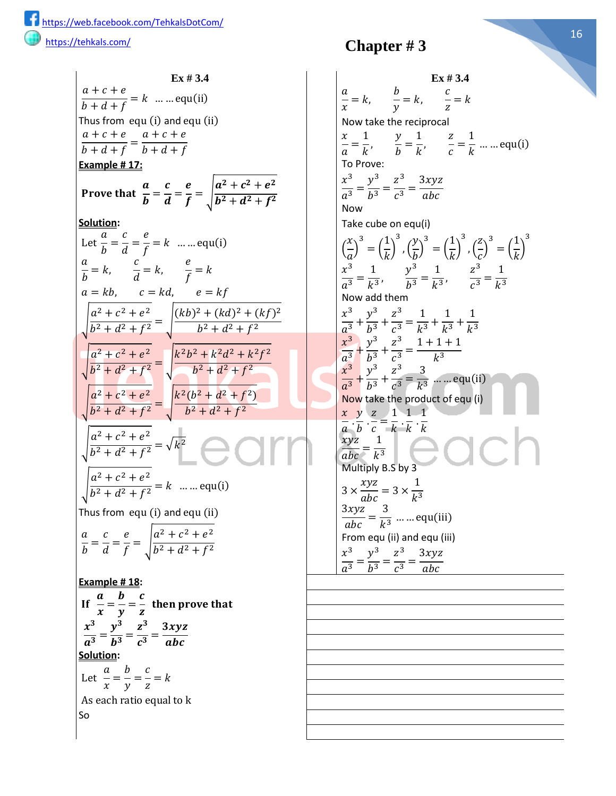#### **Ex # 3.3 Ex # 3.4** Q8:  $|$  If  $p$  varies jointly as  $q$  and  $r^2$  and inversely as s and  $t^2$ ,  $p = 40$  when  $q = 8$ and  $r = 5$ ,  $s = 3$  and  $t = 2$ . Find p in terms of  $q, r, s$  and t. Also find the value of when  $q = -2$  and  $r = 4$ ,  $s = 3$  and  $t = -1$ . **Solution:** As  $p$  varies jointly as  $q$  and  $r^2$  and inversely as s and  $t^2$ So p ∝  $qr^2$  $st^2$  $p=k$  $qr^2$  $\frac{q}{st^2}$  ... ... equ(i) Put  $p = 40$ ,  $q = 8$ ,  $r = 3$ ,  $s = 3$  and  $t = 2$  in equ(i)  $40 = k$  $(8)(5)^2$  $(3)(2)^2$  $40 = k$ (8)(25)  $(3)(4)$  $40 = k$ (2)(25)  $(3)(1)$  $40 = k$ 50 3  $40 \times$ 3  $\frac{1}{50} = k$  $4 \times$ 3  $\frac{1}{5} = k$ 12  $\frac{1}{5} = k$  $k=$ 25 4 Now To Find:  $q = -2$  and  $r = 4$ ,  $s = 3$  and  $t = -1$  $p = ?$ ,  $q = -2$ ,  $r = 4$ ,  $s = 3$  and  $t = -1$ Put  $q = -2, r = 4, s = 3, t = -1$ and  $k =$ 12  $\frac{1}{5}$  in equ(i)  $p = ($ 12  $\frac{1}{5}$  $(-2)(4)^2$  $(3)(-1)^2$  $p = ($ 12  $\frac{1}{5}$  $(-2)(16)$  $(3)(1)$  $p = ($ 4  $\frac{1}{5}$  $(-2)(16)$  $(1)(1)$  $p =$ −128 5

## **Chapter # 3**

**K – Method**

If  $a : b : c : d$  is a proportion, then putting each ratio equal to  $k$ 

> Let  $\alpha$  $\frac{c}{b}$  =  $\mathcal{C}_{0}$  $\frac{c}{d} = k$  $\alpha$  $\frac{a}{b} = k$ ,  $\mathcal{C}_{0}$  $\frac{1}{d} = k$  $a = kb$ ,  $c = kd$

These equations are used to evaluate certain expressions more easily. This method is called K – Method.

```
Example # 15:
If
      \boldsymbol{a}\frac{a}{b} =
               \boldsymbol{c}\frac{c}{d} =
                       \boldsymbol{e}\frac{1}{f} then prove that each of the
 ratios is equal to
                                     la + mc + ne\boldsymbol{l} \boldsymbol{b} + \boldsymbol{m} \boldsymbol{d} + \boldsymbol{n} \boldsymbol{f}Solution:
Let
        \alpha\frac{c}{b} =
                \mathcal{C}_{0}\frac{c}{d} =
                        e
                        \frac{1}{f} = k ... ... equ(i)
\alpha\frac{a}{b} = k,
                     \mathcal{C}_{0}\frac{1}{d} = k,\boldsymbol{e}\frac{1}{f} = ka = kb, c = kd, e = kfla + mc + ne\frac{1}{16} + md + nf =lkb + mkd + nkflb + md + nfla + mc + ne\frac{1}{16} + md + nf =k(lb + md + nf)lb + md + nfla + mc + ne\frac{1}{2} \frac{1}{2} \frac{1}{2} \frac{1}{2} \frac{1}{2} \frac{1}{2} \frac{1}{2} \frac{1}{2} = k \quad \dots \dots \text{equ(ii)}Thus from equ (i) and equ (ii)
\alpha\frac{a}{b} =
         \mathcal{C}\frac{c}{d} =
                 e
                 \frac{1}{f} =
                         la + mc + nelb + md + nfExample # 16:
Prove that
                        \boldsymbol{a}\frac{a}{b} =
                                 \boldsymbol{c}\frac{c}{d}=
                                         e
                                         \frac{1}{f}=
                                                  a + c + eb + d + fSolution:
Let
        \alpha\frac{c}{b} =
                \mathcal{C}_{0}\frac{c}{d} =
                        e
                        \frac{1}{f} = k ... ... equ(i)
\alpha\frac{a}{b} = k,
                     \mathcal{C}_{0}\frac{1}{d} = k,\boldsymbol{e}\frac{1}{f} = ka = kb, c = kd, e = kfa + c + e\frac{a+1}{b+d+f} =kb + kd + kfb + d + fa + c + e\frac{a+1}{b+d+f} =k(b + d + f)b + d + f
```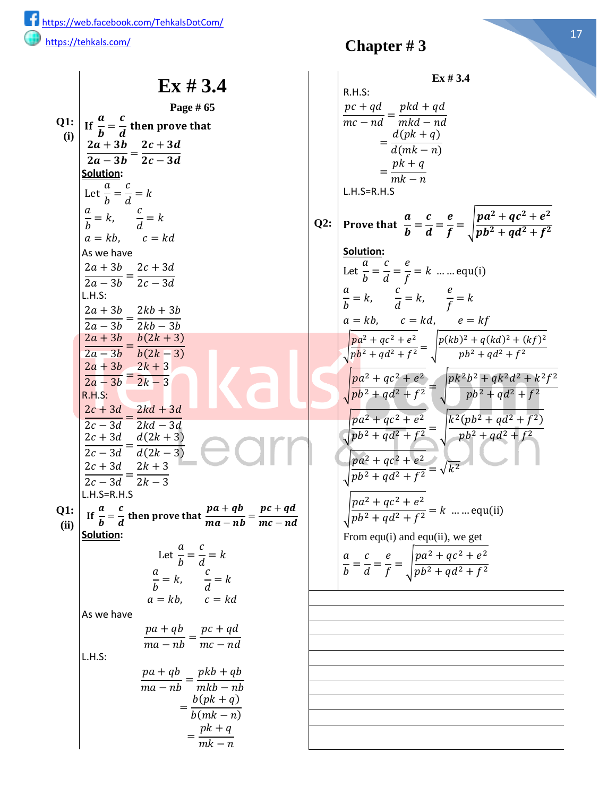$a + c + e$  $\frac{a+b+c}{b+d+f} = k$  ... ... equ(ii) Thus from equ (i) and equ (ii)  $a + c + e$  $\frac{b + d + f}{b + d + f} =$  $a + c + e$  $b + d + f$ **Example # 17: Prove that**  $\boldsymbol{a}$  $\frac{a}{b}$  =  $\boldsymbol{c}$  $\frac{c}{d}$  = e  $\frac{c}{f} = \int$  $a^2 + c^2 + e^2$  $b^2 + d^2 + f^2$ **Solution:** Let  $\alpha$  $\frac{a}{b}$  =  $\mathcal{C}_{0}$  $\frac{c}{d}$  = e  $\frac{a}{f} = k$  ... ... equ(i)  $\alpha$  $\frac{a}{b} = k$ ,  $\mathcal{C}_{0}$  $\frac{1}{d} = k,$ e  $\frac{1}{f} = k$  $a = kb$ ,  $c = kd$ ,  $e = kf$  $\int \frac{a^2 + c^2 + e^2}{a^2 + a^2 + c^2}$  $\frac{a^{2}+b^{2}+c^{2}}{b^{2}+d^{2}+f^{2}} =$  $(kb)^2 + (kd)^2 + (kf)^2$  $b^2 + d^2 + f^2$  $a^2 + c^2 + e^2$  $\frac{a^2+c^2+e^2}{b^2+d^2+f^2} = \sqrt{\frac{k^2b^2+k^2d^2+k^2f^2}{b^2+d^2+f^2}}$  $b^2 + d^2 + f^2$  $a^2 + c^2 + e^2$  $\frac{a^2+c^2+e^2}{b^2+d^2+f^2}=\sqrt{\frac{k^2(b^2+d^2+f^2)}{b^2+d^2+f^2}}$  $b^2 + d^2 + f^2$  $\int \frac{a^2 + c^2 + e^2}{a^2 + a^2 + a^2}$  $\frac{a^{2} + b^{2} + c^{2}}{b^{2} + d^{2} + f^{2}} = \sqrt{k^{2}}$  $\int \frac{a^2 + c^2 + e^2}{a^2 + a^2 + c^2}$  $\frac{a^{2}+b^{2}+c^{2}}{b^{2}+d^{2}+f^{2}}=k$  ... ... equ(i) Thus from equ (i) and equ (ii)  $\alpha$  $\frac{a}{b}$  =  $\mathcal{C}_{0}$  $\frac{c}{d}$  = e  $\frac{e}{f} = \sqrt{\frac{a^2 + c^2 + e^2}{b^2 + d^2 + f^2}}$  $b^2 + d^2 + f^2$ **Example # 18:** If  $\boldsymbol{a}$  $\frac{1}{x}$  =  $\bm{b}$  $\frac{y}{y} =$  $\boldsymbol{c}$  $\frac{1}{z}$  then prove that  $x^3$  $\frac{1}{a^3} =$  $y^3$  $\frac{b^2}{b^3} =$  $z^3$  $\frac{1}{c^3} =$  $3xyz$ abc **Solution:** Let  $\alpha$  $\frac{1}{x}$  =  $\boldsymbol{b}$  $\frac{z}{y} =$  $\mathcal{C}$  $\frac{1}{z} = k$ As each ratio equal to k So

**Chapter # 3**

**Ex # 3.4 Ex # 3.4**  $\alpha$  $\frac{x}{x} = k$ ,  $\boldsymbol{b}$  $\frac{z}{y} = k$ ,  $\mathcal{C}_{0}$  $\frac{1}{z} = k$ Now take the reciprocal  $\mathcal{X}$  $\frac{a}{a}$  = 1  $\frac{1}{k}$ ,  $\mathcal{Y}$  $\frac{b}{b}$  = 1  $\frac{1}{k}$ , z  $\frac{1}{c}$  = 1  $\frac{1}{k}$  ... ... equ(i) To Prove:  $x^3$  $\frac{1}{a^3} =$  $y^3$  $\frac{b^2}{b^3}$  =  $z^3$  $\frac{1}{c^3} =$  $3xyz$ abc Now Take cube on equ(i) (  $\mathcal{X}$  $\frac{1}{a}$ 3 = ( 1  $\frac{1}{k}$ 3 , (  $\mathcal{Y}$  $\frac{1}{b}$ 3 = ( 1  $\frac{1}{k}$ 3 , ( Z  $\frac{1}{c}$ 3 = ( 1  $\frac{1}{k}$ 3  $x^3$  $\frac{1}{a^3} =$ 1  $\frac{1}{k^3}$ ,  $y^3$  $\frac{b^2}{b^3} =$ 1  $\frac{1}{k^3}$ ,  $z^3$  $\frac{1}{c^3} =$ 1  $k<sup>3</sup>$ Now add them  $x^3$  $\frac{a^3}{a^3}$  +  $y^3$  $\frac{b^3}{b^3}$  +  $z^3$  $\frac{1}{c^3} =$ 1  $\frac{1}{k^3}$  + 1  $\frac{1}{k^3}$  + 1  $k<sup>3</sup>$  $x^3$  $\frac{1}{a^3}$  +  $y^3$  $\frac{b^3}{b^3}$  +  $z^3$  $\frac{1}{c^3} =$  $1 + 1 + 1$  $k<sup>3</sup>$  $x^3$  $\frac{1}{a^3}$  +  $y^3$  $rac{b^3}{b^3}$  +  $z^3$  $\frac{1}{c^3} =$ 3  $\frac{8}{k^3}$  ... ... equ(ii) Now take the product of equ (i)  $\mathcal{X}$  $\frac{a}{a}$ .  $\overline{y}$  $\frac{b}{b}$ . Z  $\frac{z}{c}$  = 1  $\frac{1}{k}$  . 1  $\frac{1}{k}$ . 1  $\boldsymbol{k}$ xyz  $\frac{dy}{} =$ 1  $k<sup>3</sup>$ Multiply B.S by 3  $3 \times$  $xyz$  $\frac{12}{abc} = 3 \times$ 1  $k<sup>3</sup>$  $3xyz$  $\frac{mg}{abc}$ 3  $\frac{3}{k^3}$  ... ... equ(iii) From equ (ii) and equ (iii)  $x^3$  $\frac{a^3}{a^3} =$  $y^3$  $\frac{b^3}{b^3}$  =  $z^3$  $\frac{1}{c^3} =$  $3xyz$ <u>abc</u>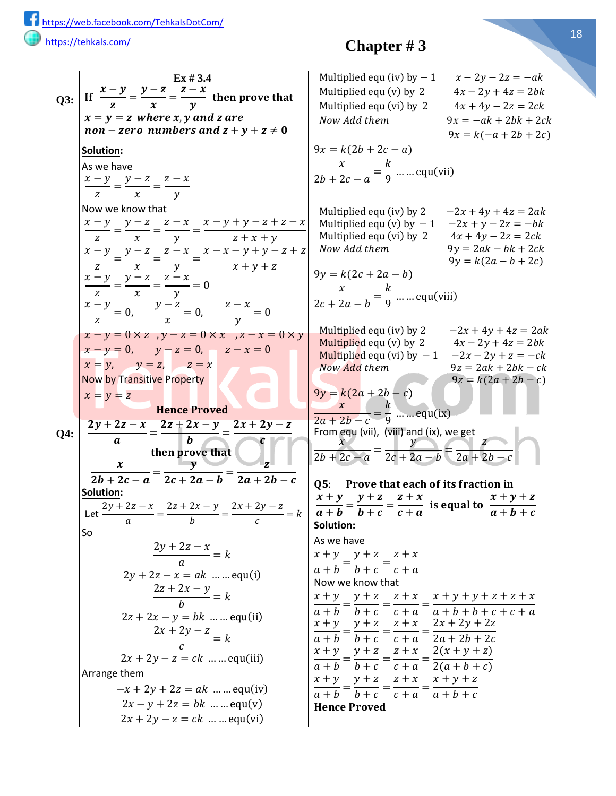$\overline{1}$ 

|      | $Ex \# 3.4$                                                                                        |  |  |  |
|------|----------------------------------------------------------------------------------------------------|--|--|--|
|      | Page # 65                                                                                          |  |  |  |
| Q1:  | If $\frac{a}{b} = \frac{c}{d}$ then prove that                                                     |  |  |  |
| (i)  | $2a+3b$ $2c+3d$                                                                                    |  |  |  |
|      | $\frac{1}{2a-3b} = \frac{1}{2c-3d}$                                                                |  |  |  |
|      | Solution:                                                                                          |  |  |  |
|      | Let $\frac{a}{b} = \frac{c}{d} = k$                                                                |  |  |  |
|      | $\frac{a}{b} = k$ , $\frac{c}{d} = k$                                                              |  |  |  |
|      |                                                                                                    |  |  |  |
|      | $a = kb$ , $c = kd$<br>As we have                                                                  |  |  |  |
|      |                                                                                                    |  |  |  |
|      | $\frac{2a+3b}{2a-3b} = \frac{2c+3d}{2c-3d}$                                                        |  |  |  |
|      | L.H.S:                                                                                             |  |  |  |
|      | $\frac{2a+3b}{2a-3b} = \frac{2kb+3b}{2kb-3b}$                                                      |  |  |  |
|      |                                                                                                    |  |  |  |
|      | $\frac{2a+3b}{2a-3b} = \frac{b(2k+3)}{b(2k-3)}$                                                    |  |  |  |
|      | $2a+3b$ $2k+3$                                                                                     |  |  |  |
|      | $\frac{1}{2a-3b} = \frac{1}{2k-3}$                                                                 |  |  |  |
|      | <b>R.H.S:</b>                                                                                      |  |  |  |
|      | $2c+3d$ $2kd+3d$<br>$\frac{1}{2c-3d} = \frac{1}{2kd-3d}$                                           |  |  |  |
|      |                                                                                                    |  |  |  |
|      | $\frac{2c+3d}{2c-3d} = \frac{d(2k+3)}{d(2k-3)}$                                                    |  |  |  |
|      | $2c + 3d$ $2k + 3$                                                                                 |  |  |  |
|      | $\frac{1}{2c-3d} = \frac{1}{2k-3}$<br>$L.H.S=R.H.S$                                                |  |  |  |
| Q1:  |                                                                                                    |  |  |  |
| (ii) | If $\frac{a}{b} = \frac{c}{d}$ then prove that $\frac{pa + qb}{ma - nb} = \frac{pc + qd}{mc - nd}$ |  |  |  |
|      | Solution:                                                                                          |  |  |  |
|      | Let $\frac{a}{b} = \frac{c}{d} = k$                                                                |  |  |  |
|      | $\frac{a}{b} = k$ , $\frac{c}{d} = k$                                                              |  |  |  |
|      |                                                                                                    |  |  |  |
|      | $c = kd$<br>$a = kb$ ,<br>As we have                                                               |  |  |  |
|      |                                                                                                    |  |  |  |
|      | $\frac{pa+qb}{ma-nb} = \frac{pc+qd}{mc-nd}$                                                        |  |  |  |
|      | L.H.S:                                                                                             |  |  |  |
|      | $\frac{pa+qb}{ma-nb} = \frac{pkb+qb}{mkb-nb}$                                                      |  |  |  |
|      |                                                                                                    |  |  |  |
|      | $=\frac{b(pk+q)}{b(mk-n)}$                                                                         |  |  |  |
|      | $=\frac{pk+q}{mk-n}$                                                                               |  |  |  |
|      |                                                                                                    |  |  |  |

## **Chapter # 3**

#### **Ex # 3.4** R.H.S:  $pc + qd$  $\frac{F - 4i}{mc - nd} =$  $pkd + qd$ mkd – nd =  $d(pk + q)$  $d(mk - n)$ =  $pk + q$  $mk - n$ L.H.S=R.H.S **Prove that**  $\boldsymbol{a}$  $\frac{a}{b}$  =  $\boldsymbol{c}$  $\frac{c}{d}$ =  $\boldsymbol{e}$  $\frac{c}{f}$  =  $\sqrt{ }$  $pa^2 + qc^2 + e^2$ Q2: Prove that  $\frac{a}{b} = \frac{c}{d} = \frac{c}{f} = \sqrt{\frac{p a + q c + c}{p b^2 + q d^2 + f^2}}$ **Solution:** Let  $\overline{a}$  $\frac{a}{b}$  =  $\mathcal{C}$  $\frac{c}{d}$  =  $\boldsymbol{e}$  $\frac{1}{f} = k$  ... ... equ(i)  $\alpha$  $\frac{a}{b} = k$ ,  $\mathcal{C}_{0}$  $\frac{1}{d} = k,$  $\boldsymbol{e}$  $\frac{1}{f} = k$  $a = kb$ ,  $c = kd$ ,  $e = kf$  $p a^2 + q c^2 + e^2$  $\frac{p a^2 + q c^2 + e^2}{p b^2 + q d^2 + f^2} = \sqrt{\frac{p (kb)^2 + q (kd)^2 + (kf)^2}{p b^2 + q d^2 + f^2}}$  $pb^2 + qd^2 + f^2$  $\int \frac{p a^2 + q c^2 + e^2}{p a^2 + q c^2}$  $\frac{p a^2 + q c^2 + e^2}{p b^2 + q d^2 + f^2} = \sqrt{\frac{p k^2 b^2 + q k^2 d^2 + k^2 f^2}{p b^2 + q d^2 + f^2}}$  $pb^2 + qd^2 + f^2$  $p a^2 + q c^2 + e^2$  $\frac{p a^2 + q c^2 + e^2}{p b^2 + q d^2 + f^2} = \sqrt{\frac{k^2 (p b^2 + q d^2 + f^2)}{p b^2 + q d^2 + f^2}}$  $pb^2 + qd^2 + f^2$  $\int pa^2 + qc^2 + e^2$  $\frac{p^2 + q^2 + 6}{p^2 + q^2 + f^2} = \sqrt{k^2}$  $\int \frac{p a^2 + q c^2 + e^2}{a^2 + r^2}$  $\frac{1}{p}b^2 + qd^2 + f^2 = k$  ... ... equ(ii) From equ(i) and equ(ii), we get  $\alpha$  $\frac{a}{b}$  =  $\mathcal{C}_{0}$  $\frac{c}{d}$  =  $\boldsymbol{e}$  $\frac{e}{f} = \sqrt{\frac{pa^2 + qc^2 + e^2}{pb^2 + qd^2 + f^2}}$  $pb^2 + qd^2 + f^2$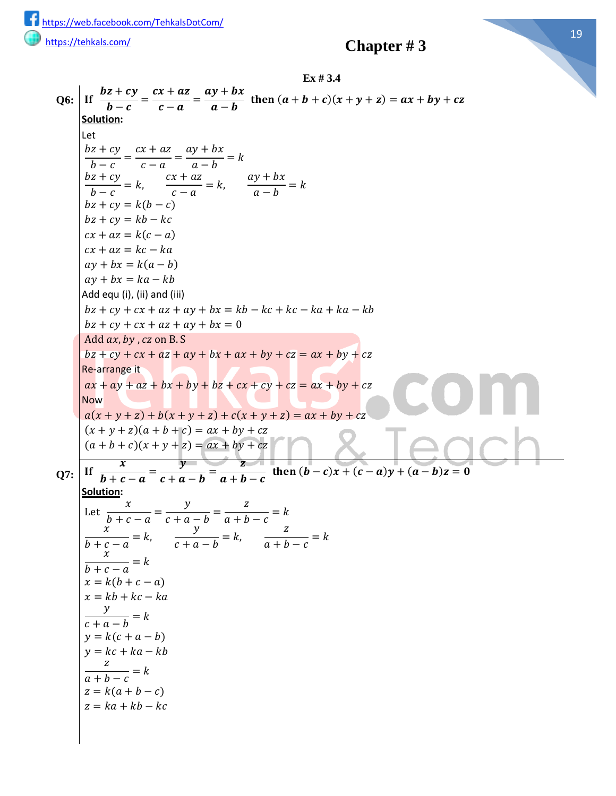Multiplied equ (iv) by  $-1$   $x - 2y - 2z = -ak$ Multiplied equ (v) by 2  $4x - 2y + 4z = 2bk$ Multiplied equ (vi) by 2  $4x + 4y - 2z = 2ck$ Now Add them  $9x = -ak + 2bk + 2ck$  $9x = k(-a + 2b + 2c)$  $9x = k(2b + 2c - a)$  $\mathcal{X}$  $\frac{1}{2b+2c-a}=$  $\boldsymbol{k}$  $\frac{n}{9}$  ... ... equ(vii) Multiplied equ (iv) by 2  $-2x + 4y + 4z = 2ak$ Multiplied equ (v) by  $-1$   $-2x + y - 2z = -bk$ Multiplied equ (vi) by 2  $4x + 4y - 2z = 2ck$ Now Add them  $9y = 2ak - bk + 2ck$  $9y = k(2a - b + 2c)$  $9y = k(2c + 2a - b)$  $\chi$  $\frac{c}{2c+2a-b}=$  $\boldsymbol{k}$  $\frac{\pi}{9}$  ... ... equ(viii) Multiplied equ (iv) by 2  $-2x + 4y + 4z = 2ak$ Multiplied equ (v) by 2  $4x - 2y + 4z = 2bk$ Multiplied equ (vi) by  $-1$   $-2x - 2y + z = -ck$  $Now Add them$   $9z = 2ak + 2bk - ck$  $9z = k(2a + 2b - c)$  $9y = k(2a + 2b - c)$  $\mathcal{X}$  $\frac{1}{2a+2b-c} =$  $\boldsymbol{k}$  $\frac{1}{9}$  ... ... equ(ix) From equ (vii), (viii) and (ix), we get x  $\frac{1}{2b + 2c - a} =$  $\mathcal{Y}$  $\frac{b}{2c + 2a - b} =$ Z  $2a + 2b - c$ **Q3:**  $\mathbf{x}-\mathbf{y}$  $\frac{y}{z}$  =  $y-z$  $\frac{-}{x}$  =  $z-x$  $\frac{1}{y}$  then prove that  $x = y = z$  where x, y and z are  $non-zero \ numbers \ and \ z + y + z \neq 0$ **Solution:** As we have  $x - y$  $\frac{y}{z}$  =  $y - z$  $\frac{1}{x}$  =  $z - x$  $\mathcal{Y}$ Now we know that  $x - y$  $\frac{y}{z}$  =  $y - z$  $\frac{1}{x}$  =  $z - x$  $\frac{v}{y}$  =  $x - y + y - z + z - x$  $z + x + y$  $x - y$  $\frac{y}{z}$  =  $y - z$  $\frac{1}{x}$  =  $z - x$  $\frac{v}{y}$  =  $x - x - y + y - z + z$  $x + y + z$  $x - y$  $\frac{y}{z}$  =  $y - z$  $\frac{1}{x}$  =  $\overline{z}-x$  $\frac{1}{y} = 0$  $x - y$  $\frac{y}{z} = 0,$  $y - z$  $\frac{1}{x} = 0,$  $z - x$  $\frac{1}{y} = 0$  $x - y = 0 \times z$ ,  $y - z = 0 \times x$ ,  $z - x = 0 \times y$  $x - y = 0,$   $y - z = 0,$   $z - x = 0$  $x = y$ ,  $y = z$ ,  $z = x$ Now by Transitive Property  $x = y = z$ **Hence Proved Q4:**  $2y + 2z - x$  $\frac{1}{a}$  =  $2z + 2x - y$  $\frac{1}{b}$  =  $2x + 2y - z$  $\boldsymbol{c}$ then prove that  $\boldsymbol{\chi}$  $\frac{c}{2b+2c-a}=$  $\mathbf{y}$  $\frac{b}{2c + 2a - b} =$ Z  $2a + 2b - c$ **Solution:** Let  $\frac{2y + 2z - x}{ }$  $\frac{2z-x}{a} = \frac{2z+2x-y}{b}$  $\frac{2x-y}{b} = \frac{2x+2y-z}{c}$  $\frac{1}{c} = k$ So  $2y + 2z - x$  $\frac{1}{a} = k$  $2y + 2z - x = ak$  ... ... equ(i)  $2z + 2x - y$  $\frac{1}{b} = k$  $2z + 2x - y = bk$  ... ... equ(ii)  $2x + 2y - z$  $\frac{y}{c} = k$  $2x + 2y - z = ck$  ... ... equ(iii) Arrange them  $-x + 2y + 2z = ak$  ... ... equ(iv)  $2x - y + 2z = bk$  ... ... equ(v)  $2x + 2y - z = ck$  ... ... equ(vi) Q5: Prove that each of its fraction in  $x + y$  $\frac{a+b}{a+b} =$  $y + z$  $\frac{b}{b+c} =$  $z + x$  $\frac{-4}{c+a}$  is equal to  $x + y + z$  $a + b + c$ **Solution:** As we have  $x + y$  $\frac{a+b}{a+b} =$  $y + z$  $\frac{b+c}{b+c} =$  $z + x$  $c + a$ Now we know that  $x + y$  $\frac{a+b}{a+b} =$  $y + z$  $\frac{b+c}{b+c} =$  $z + x$  $\frac{1}{c + a} =$  $x + y + y + z + z + x$  $a + b + b + c + c + a$  $x + y$  $\frac{a+b}{a+b} =$  $y + z$  $\frac{b+c}{b+c} =$  $z + x$  $\frac{1}{c + a} =$  $2x + 2y + 2z$  $2a + 2b + 2c$  $x + y$  $\frac{a+b}{a+b} =$  $y + z$  $\frac{b+c}{b+c} =$  $z + x$  $\frac{1}{c + a} =$  $2(x + y + z)$  $2(a + b + c)$  $x + y$  $\frac{a+b}{a+b} =$  $y + z$  $\frac{b+c}{b+c} =$  $z + x$  $\frac{1}{c + a} =$  $x + y + z$  $a + b + c$ **Hence Proved**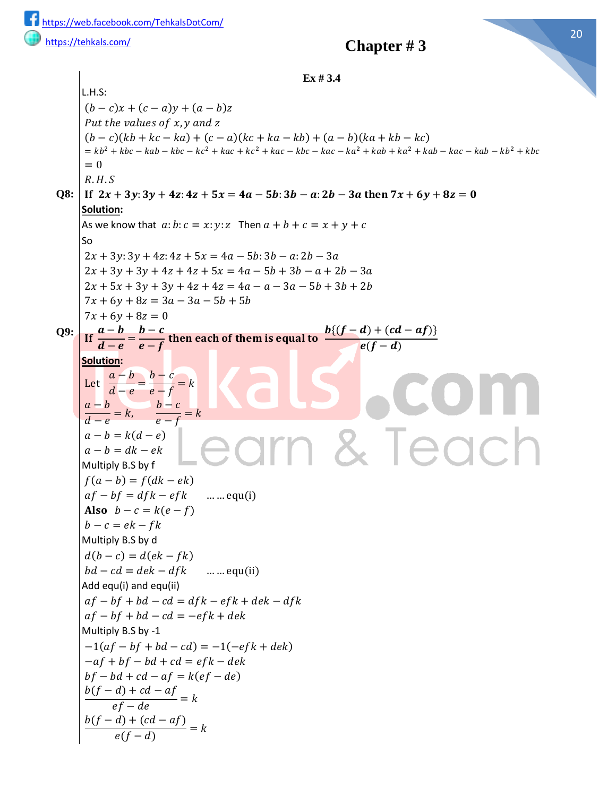#### **Ex # 3.4 Q6:**  $$  $\frac{\overline{b-c}}{b-c} =$  $cx + az$  $\frac{\overline{c-a}}{c-a} =$  $ay + bx$  $\frac{a-b}{a-b}$  then  $(a+b+c)(x+y+z) = ax + by + cz$ **Solution:** Let  $bz + cy$  $\frac{1}{b-c} =$  $cx + az$  $\frac{a}{c-a} =$  $ay + bx$  $\frac{b}{a-b} = k$  $bz + cy$  $\frac{1}{b-c} = k,$  $cx + az$  $\frac{a}{c-a} = k,$  $ay + bx$  $\frac{b}{a-b} = k$  $bz + cy = k(b - c)$  $bz + cv = kb - kc$  $cx + az = k(c - a)$  $cx + az = kc - ka$  $ay + bx = k(a - b)$  $ay + bx = ka - kb$ Add equ (i), (ii) and (iii)  $bz + cy + cx + az + ay + bx = kb - kc + kc - ka + ka - kb$  $bz + cy + cx + az + ay + bx = 0$ Add  $ax$ , by,  $cz$  on B. S  $bz + cy + cx + az + ay + bx + ax + by + cz = ax + by + cz$ Re-arrange it  $ax + ay + az + bx + by + bz + cx + cy + cz = ax + by + cz$ **Now**  $a(x + y + z) + b(x + y + z) + c(x + y + z) = ax + by + cz$  $(x + y + z)(a + b + c) = ax + by + cz$  $(a + b + c)(x + y + z) = ax + by + cz$ **Q7:** If  $\overline{x}$  $\frac{c}{b+c-a} =$  $\overline{y}$  $\frac{c}{c + a - b} =$ z  $\frac{a}{a+b-c}$  then  $(b-c)x + (c-a)y + (a-b)z = 0$ **Solution:** Let  $\mathcal{X}$  $\frac{c}{b+c-a} =$  $\mathcal{Y}$  $\frac{b}{c + a - b} =$ z  $\frac{-}{a + b - c} = k$  $\overline{x}$  $\frac{a}{b+c-a} = k,$  $\mathcal{Y}$  $\frac{b}{c + a - b} = k,$ z  $\frac{-}{a + b - c} = k$  $\overline{\mathbf{x}}$  $\frac{c}{b+c-a} = k$  $x = k(b + c - a)$  $x = kb + kc - ka$  $\mathcal{Y}$  $\frac{b}{c + a - b} = k$  $y = k(c + a - b)$  $y = kc + ka - kb$ Z  $\frac{-}{a + b - c} = k$  $z = k(a + b - c)$  $z = ka + kb - kc$

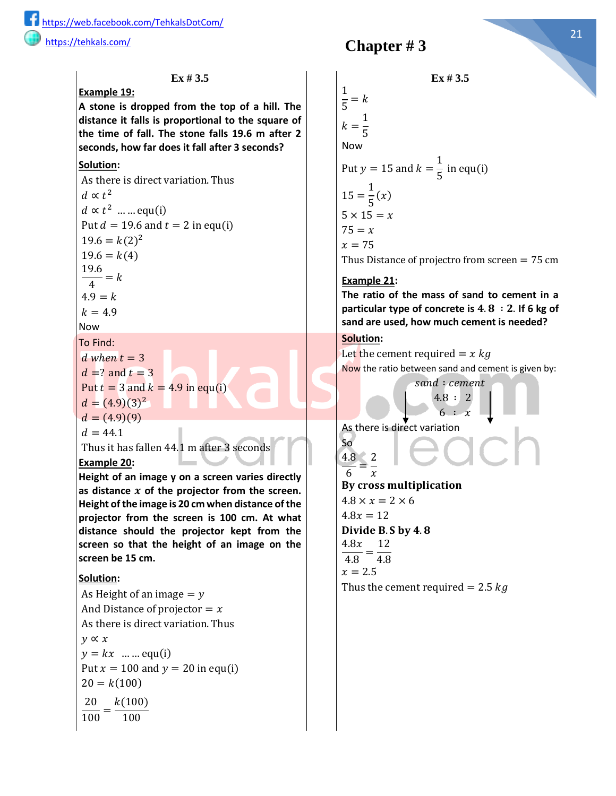$$
Ex\#3.4
$$

L.H.S:  
\n(b - c)x + (c - a)y + (a - b)z  
\nPut the values of x, y and z  
\n(b - c)(kb + kc - ka) + (c - a)(kc + ka - kb) + (a - b)(ka + kb - kc)  
\n= b  
\n= 0  
\n0  
\n8: If 2x + 3y : 3y + 4z : 4z + 5x = 4a - 5b : 3b - a : 2b - 3a then 7x + 6y + 8z = 0  
\nSolution:  
\nAs we know that a: b: c = x: y: z Then a + b + c = x + y + c  
\nSo  
\n2x + 3y : 3y + 4z : 4z + 5x = 4a - 5b : 3b - a : 2b - 3a then 7x + 6y + 8z = 0  
\nSolution:  
\nAs we know that a: b: c = x: y: z Then a + b + c = x + y + c  
\nSo  
\n2x + 3y : 3y + 4z : 4z + 5x = 4a - 5b : 3b - a : 2b - 3a  
\n2x + 3y : 3y + 4z : 4z + 5x = 4a - 5b : 3b - a : 2b - 3a  
\n2x + 3y : 3y + 4z : 4z + 5x = 4a - 5b : 3b - a : 2b - 3a  
\n2x + 3y : 3y + 4z : 4z + 5x = 4a - 5b : 3b - a : 2b - 3a  
\n2x + 5y : 3y + 4z : 4z + 5x = 4a - 5b : 3b - a : 2b - 3a  
\n2x + 5y : 3y + 4z : 4z + 5x = 4a - 5b : 3b - a : 2b - 3a  
\n
$$
\frac{a - b}{x + a} = \frac{b - c}{e - f}
$$
  
\n
$$
\frac{a - b}{x + a} = \frac{b - c}{e - f}
$$
  
\n
$$
\frac{a - b}{x + b} = \frac{b - c}{e - f} = k
$$
  
\n
$$
\frac{a - b}{a - b} = k(a - e)
$$
  
\n
$$
a - b = k(a - e)
$$
  
\n
$$
a - b = k(a - e)
$$
  
\n
$$
a
$$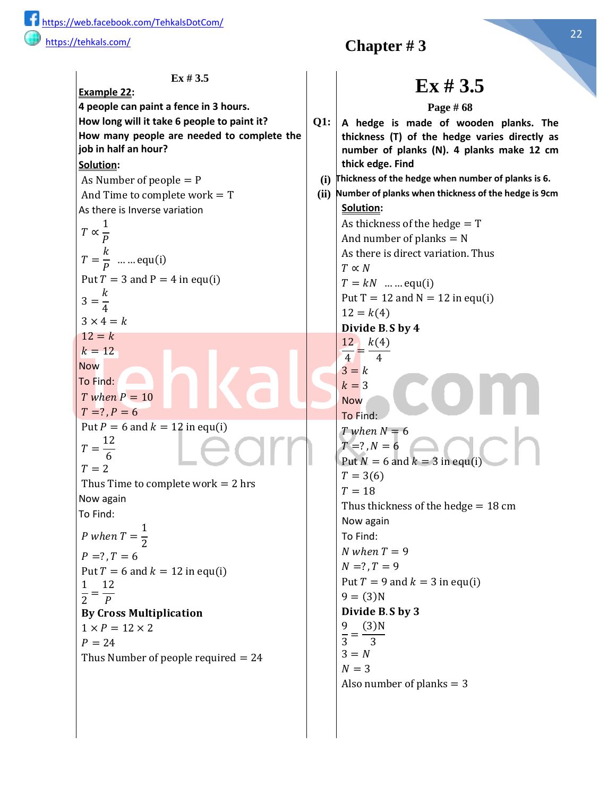100

**Ex # 3.5 Ex # 3.5 Example 19:**  $\frac{1}{5} = k$  $k=$ 1 5 Now Put  $y = 15$  and  $k =$ 1  $\frac{1}{5}$  in equ(i)  $15 =$ 1  $\frac{1}{5}(x)$  $5 \times 15 = x$  $75 = x$  $x = 75$ Thus Distance of projectro from screen  $= 75$  cm **A stone is dropped from the top of a hill. The distance it falls is proportional to the square of the time of fall. The stone falls 19.6 m after 2 seconds, how far does it fall after 3 seconds? Solution:** As there is direct variation. Thus  $d \propto t^2$  $d \propto t^2$  ... ... equ(i) Put  $d = 19.6$  and  $t = 2$  in equ(i)  $19.6 = k(2)^2$  $19.6 = k(4)$ 19.6  $\frac{1}{4} = k$  $4.9 = k$  $k = 4.9$ Now To Find: d when  $t = 3$  $d = ?$  and  $t = 3$ Put  $t = 3$  and  $k = 4.9$  in equ(i)  $d = (4.9)(3)^2$  $d = (4.9)(9)$  $d = 44.1$ Thus it has fallen 44.1 m after 3 seconds **Example 21: The ratio of the mass of sand to cement in a particular type of concrete is**  $4.8 : 2.1$  **if 6 kg of sand are used, how much cement is needed? Solution:** Let the cement required  $= x \, kg$ Now the ratio between sand and cement is given by: sand : cement 4.8 ∶ 2  $6 : x$ As there is direct variation So 4.8 2  $\frac{1}{6}$  $\boldsymbol{\chi}$ By cross multiplication  $4.8 \times x = 2 \times 6$  $4.8x = 12$ Divide B. S by 4.8  $4.8x$  12  $\frac{12}{4.8} = \frac{1}{4.8}$  $x = 2.5$ Thus the cement required  $= 2.5 kg$ **Example 20: Height of an image y on a screen varies directly as distance of the projector from the screen. Height of the image is 20 cm when distance of the projector from the screen is 100 cm. At what distance should the projector kept from the screen so that the height of an image on the screen be 15 cm. Solution:** As Height of an image  $=y$ And Distance of projector  $=x$ As there is direct variation. Thus  $y \propto x$  $y = kx$  ... ... equ(i) Put  $x = 100$  and  $y = 20$  in equ(i)  $20 = k(100)$ 20  $\frac{1}{100}$  =  $k(100)$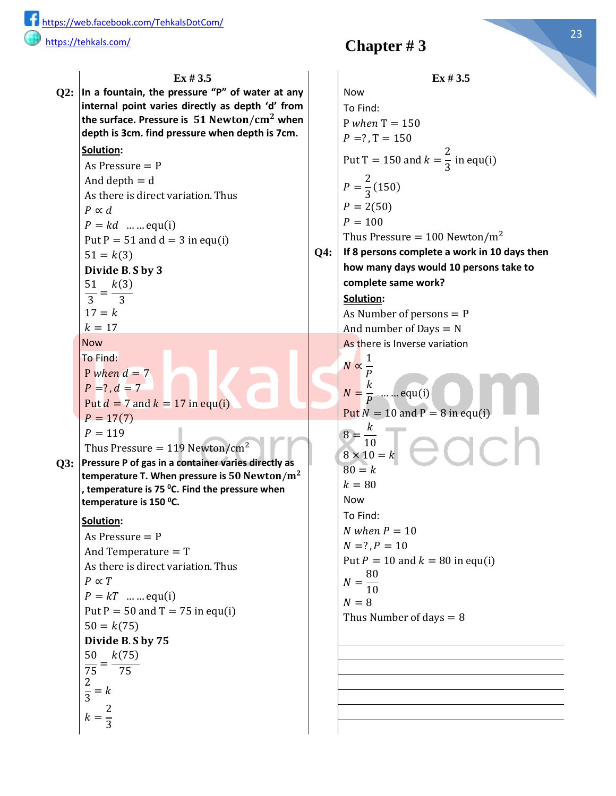**Ex # 3.5 Example 22: Ex** # 3.5 **4 people can paint a fence in 3 hours. Page # 68** How long will it take 6 people to paint it?  $\vert$  Q1:  $\vert$  A hedge is made of wooden planks. The **thickness (T) of the hedge varies directly as number of planks (N). 4 planks make 12 cm thick edge. Find How many people are needed to complete the job in half an hour? Solution:** As Number of people  $= P$ And Time to complete work  $= T$ As there is Inverse variation  $T \propto$ 1  $\overline{P}$  $T=$  $\boldsymbol{k}$  $\frac{n}{P}$  ... ... equ(i) Put  $T = 3$  and  $P = 4$  in equ(i)  $3 =$  $\boldsymbol{k}$ 4  $3 \times 4 = k$  $12 = k$  $k = 12$ Now To Find:  $T$  when  $P = 10$  $T = ?$ ,  $P = 6$ Put  $P = 6$  and  $k = 12$  in equ(i)  $T=$ 12 6  $T = 2$ Thus Time to complete work  $= 2$  hrs Now again To Find: P when  $T =$ 1 2  $P = ?$ ,  $T = 6$ Put  $T = 6$  and  $k = 12$  in equ(i) 1 12  $\frac{1}{2} = \frac{1}{p}$ **By Cross Multiplication**  $1 \times P = 12 \times 2$  $P = 24$ Thus Number of people required  $= 24$ **(i) Thickness of the hedge when number of planks is 6. (ii) Number of planks when thickness of the hedge is 9cm Solution:** As thickness of the hedge  $= T$ And number of planks  $= N$ As there is direct variation. Thus  $T \propto N$  $T = kN$  ... ... equ(i) Put  $T = 12$  and  $N = 12$  in equ(i)  $12 = k(4)$ Divide B. S by 4 12  $k(4)$  $\frac{1}{4}$ 4  $3 = k$  $k = 3$ Now To Find:  $T$  when  $N = 6$  $T = ?$ ,  $N = 6$ Put  $N = 6$  and  $k = 3$  in equ(i)  $T = 3(6)$  $T = 18$ Thus thickness of the hedge = 18 cm Now again To Find:  $N$  when  $T = 9$  $N = ?$ ,  $T = 9$ Put  $T = 9$  and  $k = 3$  in equ(i)  $9 = (3)N$ Divide B. S by 3 9  $\frac{1}{3}$  =  $(3)$ N 3  $3 = N$  $N = 3$ Also number of planks  $= 3$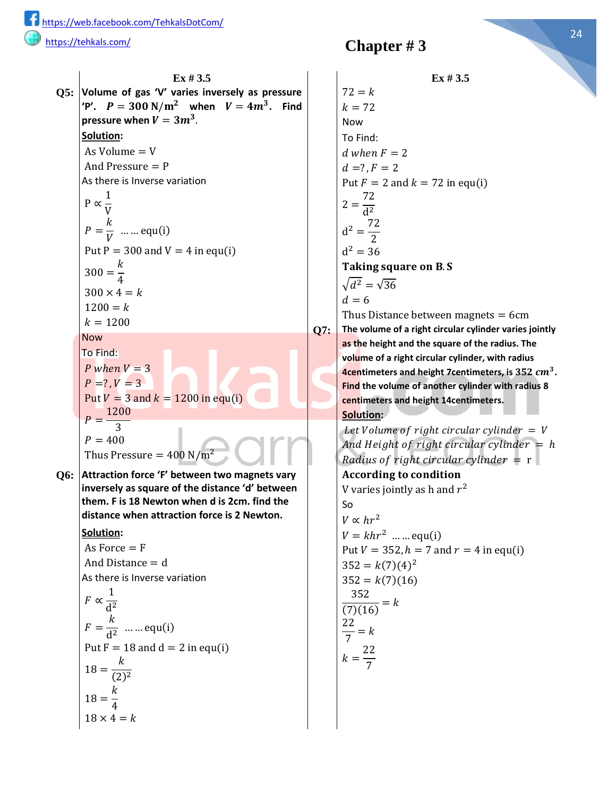**Ex # 3.5 Ex # 3.5 Q2: In a fountain, the pressure "P" of water at any internal point varies directly as depth 'd' from**  the surface. Pressure is  $51$  Newton/cm<sup>2</sup> when **depth is 3cm. find pressure when depth is 7cm. Solution:** As Pressure  $= P$ And depth  $= d$ As there is direct variation. Thus  $P \propto d$  $P = kd$  ... ... equ(i) Put  $P = 51$  and  $d = 3$  in equ(i)  $51 = k(3)$ Divide B. S by 3 51  $k(3)$  $\frac{1}{3} = \frac{1}{3}$  $17 = k$  $k = 17$ Now To Find: P when  $d = 7$  $P = ?$  ,  $d = 7$ Put  $d = 7$  and  $k = 17$  in equ(i)  $P = 17(7)$  $P = 119$ Thus Pressure =  $119$  Newton/cm<sup>2</sup> **Q3: Pressure P of gas in a container varies directly as**  temperature T. When pressure is  $50$  Newton/ $m^2$ **, temperature is 75 <sup>0</sup>C. Find the pressure when temperature is 150 <sup>0</sup>C. Solution:** As Pressure  $= P$ And Temperature  $= T$ As there is direct variation. Thus  $P \propto T$  $P = kT$  ... ... equ(i) Put  $P = 50$  and  $T = 75$  in equ(i)  $50 = k(75)$ Divide B. S by 75 50  $\frac{1}{75}$  =  $k(75)$ 75 2  $\frac{1}{3} = k$  $k=$ 2 3

## **Chapter # 3**

Now To Find:  $P$  when  $T = 150$  $P = ?$ , T = 150 Put T = 150 and  $k =$ 2  $\frac{1}{3}$  in equ(i)  $P =$ 2  $\frac{2}{3}(150)$  $P = 2(50)$  $P = 100$ Thus Pressure =  $100$  Newton/m<sup>2</sup> **Q4: If 8 persons complete a work in 10 days then how many days would 10 persons take to complete same work? Solution:** As Number of persons  $= P$ And number of Days  $= N$ As there is Inverse variation  $N \propto$ 1  $\overline{P}$  $N =$  $\boldsymbol{k}$  $\frac{n}{P}$  ... ... equ(i) Put  $N = 10$  and  $P = 8$  in equ(i)  $8 =$  $\boldsymbol{k}$ 10  $8 \times 10 = k$  $80 = k$  $k = 80$ Now To Find:  $N$  when  $P = 10$  $N = ?$ ,  $P = 10$ Put  $P = 10$  and  $k = 80$  in equ(i)  $N =$ 80  $\overline{10}$  $N = 8$ Thus Number of days  $= 8$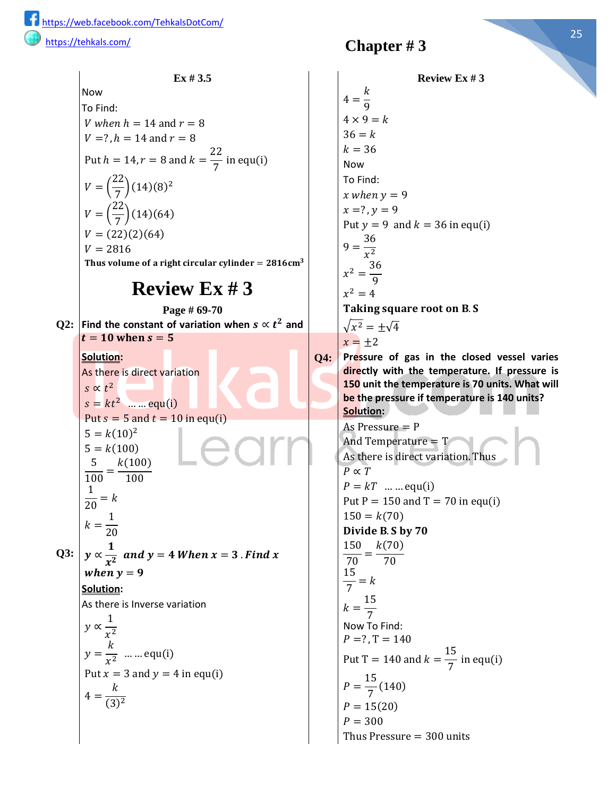**Q5: Volume of gas 'V' varies inversely as pressure**  'P'.  $P = 300 \text{ N/m}^2$  when  $V = 4m^3$ . Find pressure when  $V = 3m^3$ . **Solution:** As Volume  $= V$ And Pressure  $= P$ As there is Inverse variation P ∝ 1 V  $P=$  $\boldsymbol{k}$  $\frac{1}{V}$  ... ... equ(i) Put  $P = 300$  and  $V = 4$  in equ(i)  $300 =$  $\boldsymbol{k}$ 4  $300 \times 4 = k$  $1200 = k$  $k = 1200$ Now To Find:  $P$  when  $V = 3$  $P = ?$  ,  $V = 3$ Put  $V = 3$  and  $k = 1200$  in equ(i)  $P =$ 1200  $\overline{3}$  $P = 400$ Thus Pressure =  $400 \text{ N/m}^2$ **Q6: Attraction force 'F' between two magnets vary inversely as square of the distance 'd' between them. F is 18 Newton when d is 2cm. find the** 

**distance when attraction force is 2 Newton.**

## **Solution:**

As Force  $=$  F And Distance  $= d$ As there is Inverse variation  $F \propto$ 1  $d^2$  $F =$  $\boldsymbol{k}$  $\frac{d^2}{dt^2}$  ... ... equ(i) Put  $F = 18$  and  $d = 2$  in equ(i)  $18 =$  $\boldsymbol{k}$  $(2)^2$  $18 =$  $\boldsymbol{k}$ 4  $18 \times 4 = k$ 

**Chapter # 3**

**Ex # 3.5 Ex # 3.5**  $72 = k$  $k = 72$ Now To Find:  $d$  when  $F = 2$  $d = ?$ ,  $F = 2$ Put  $F = 2$  and  $k = 72$  in equ(i)  $2 = \frac{1}{d^2}$ 72  $d^2 = \frac{72}{2}$ 2  $d^2 = 36$ Taking square on B.S  $\sqrt{d^2} = \sqrt{36}$  $d = 6$ Thus Distance between magnets  $= 6$ cm **Q7: The volume of a right circular cylinder varies jointly as the height and the square of the radius. The volume of a right circular cylinder, with radius 4centimeters and height 7centimeters, is 352 cm<sup>3</sup>. Find the volume of another cylinder with radius 8 centimeters and height 14centimeters. Solution:** Let Volume of right circular cylinder  $= V$ And Height of right circular cylinder  $= h$ Radius of right circular cylinder  $= r$ **According to condition** V varies jointly as h and  $r^{\scriptstyle 2}$ So  $V \propto h r^2$  $V = khr^2$  ... ... equ(i) Put  $V = 352$ ,  $h = 7$  and  $r = 4$  in equ(i)  $352 = k(7)(4)^2$  $352 = k(7)(16)$ 352  $\sqrt{(7)(16)}$  $= k$ 22 7  $= k$  $k=$ 22 7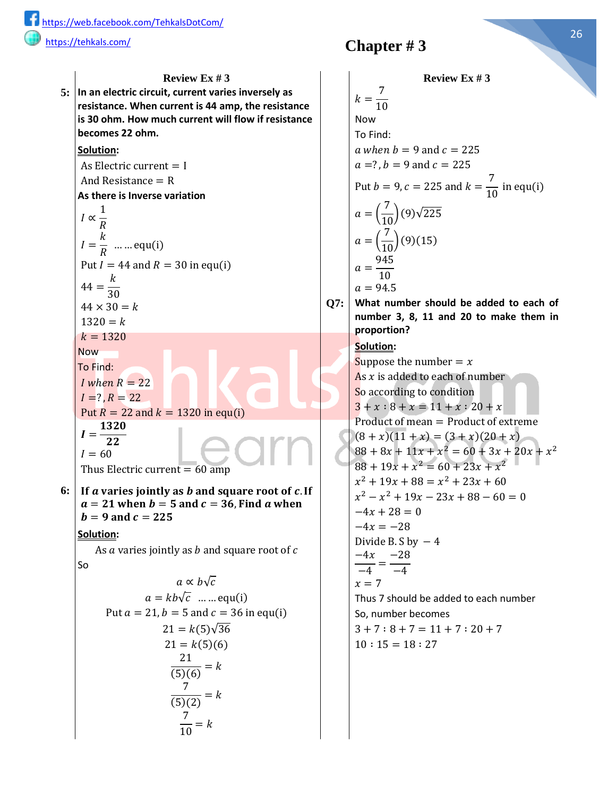**Ex # 3.5 Review Ex # 3** Now To Find: V when  $h = 14$  and  $r = 8$  $V = ?$ ,  $h = 14$  and  $r = 8$ Put  $h = 14$ ,  $r = 8$  and  $k =$ 22  $\frac{1}{7}$  in equ(i)  $V = ($ 22  $\frac{22}{7}$ (14)(8)<sup>2</sup>  $V = ($ 22  $\frac{1}{7}$ (14)(64)  $V = (22)(2)(64)$  $V = 2816$ Thus volume of a right circular cylinder =  $2816 \text{cm}^3$  $4 =$  $\boldsymbol{k}$ 9  $4 \times 9 = k$  $36 = k$  $k = 36$ Now To Find: x when  $y = 9$  $x = ?$ ,  $y = 9$ Put  $y = 9$  and  $k = 36$  in equ(i)  $9 =$ 36  $x^2$  $x^2 = \frac{36}{9}$ 9  $x^2 = 4$ Taking square root on B.S  $\sqrt{x^2} = \pm \sqrt{4}$  $x = \pm 2$ **Review Ex # 3 Page # 69-70** Q2: Find the constant of variation when  $s \propto t^2$  and  $t = 10$  when  $s = 5$ **Solution:** As there is direct variation  $s \propto t^2$  $s = kt^2$  ... ... equ(i) Put  $s = 5$  and  $t = 10$  in equ(i)  $5 = k(10)^2$  $5 = k(100)$ 5  $\frac{1}{100}$  =  $k(100)$ 100 1  $\frac{1}{20} = k$  $k=$ 1 20 **Q4: Pressure of gas in the closed vessel varies directly with the temperature. If pressure is 150 unit the temperature is 70 units. What will be the pressure if temperature is 140 units? Solution:** As Pressure  $= P$ And Temperature  $= T$ As there is direct variation. Thus  $P \propto T$  $P = kT$  ... ... equ(i) Put  $P = 150$  and  $T = 70$  in equ(i)  $150 = k(70)$ Divide B.S by 70 150  $\frac{1}{70}$  =  $k(70)$ 70 15  $\frac{1}{7} = k$  $k=$ 15 7 Now To Find:  $P = ?$ , T = 140 Put T  $= 140$  and  $k =$ 15  $\frac{1}{7}$  in equ(i)  $P =$ 15  $\frac{1}{7}$ (140)  $P = 15(20)$  $P = 300$ Thus Pressure  $= 300$  units Q3:  $y \propto \frac{1}{\sqrt{2}}$  $\frac{1}{x^2}$  and y = 4 When x = 3 . Find x when  $y = 9$ **Solution:** As there is Inverse variation y ∝ 1  $x^2$  $y =$  $\boldsymbol{k}$  $\frac{1}{x^2}$  ... ... equ(i) Put  $x = 3$  and  $y = 4$  in equ(i)  $4 =$  $\boldsymbol{k}$  $(3)<sup>2</sup>$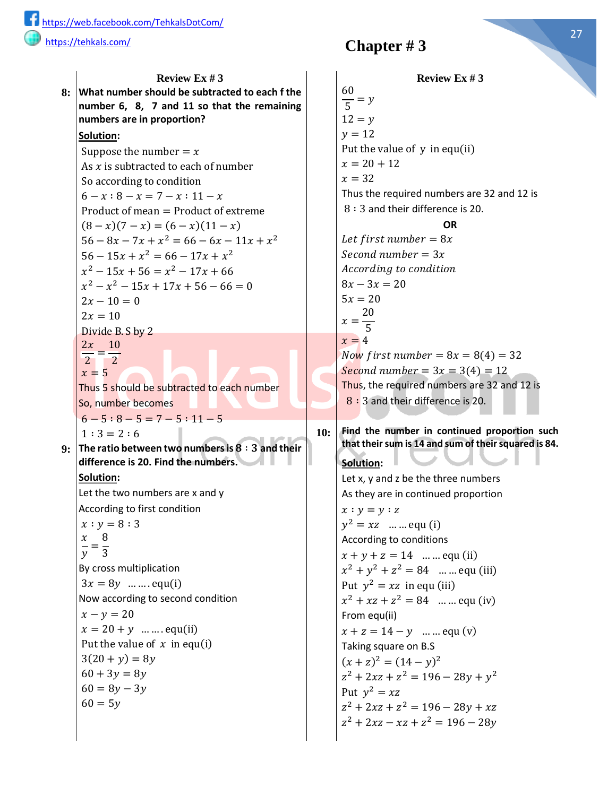<https://web.facebook.com/TehkalsDotCom/> <https://tehkals.com/>

> **Review Ex # 3 Review Ex # 3 5: In an electric circuit, current varies inversely as resistance. When current is 44 amp, the resistance is 30 ohm. How much current will flow if resistance becomes 22 ohm. Solution:** As Electric current = I And Resistance  $=$  R **As there is Inverse variation** ∝ 1  $\boldsymbol{R}$  $I =$  $\boldsymbol{k}$  $\frac{1}{R}$  ... ... equ(i) Put  $I = 44$  and  $R = 30$  in equ(i)  $44 =$  $\boldsymbol{k}$ 30  $44 \times 30 = k$  $1320 = k$  $k = 1320$ Now To Find:  $I when R = 22$  $I = ?$ ,  $R = 22$ Put  $R = 22$  and  $k = 1320$  in equ(i)  $I=\frac{1}{22}$ 1320  $I = 60$ Thus Electric current  $= 60$  amp 6: If a varies jointly as  $b$  and square root of  $c$ . If  $a = 21$  when  $b = 5$  and  $c = 36$ . Find a when  $b = 9$  and  $c = 225$ **Solution:** As  $\alpha$  varies jointly as  $\beta$  and square root of  $\alpha$ So  $a \propto b\sqrt{c}$  $a = kb\sqrt{c}$  ... ... equ(i) Put  $a = 21$ ,  $b = 5$  and  $c = 36$  in equ(i)  $21 = k(5)\sqrt{36}$  $21 = k(5)(6)$ 21  $\frac{1}{(5)(6)} = k$ 7  $\frac{1}{(5)(2)} = k$

> > 7  $\frac{1}{10} = k$

**Chapter # 3**

 $k=$ 7 10 Now To Find: a when  $b = 9$  and  $c = 225$  $a = ?$ ,  $b = 9$  and  $c = 225$ Put  $b = 9$ ,  $c = 225$  and  $k =$ 7  $\frac{1}{10}$  in equ(i)  $a = ($ 7  $\frac{1}{10}$  (9) $\sqrt{225}$  $a = ($ 7  $\frac{1}{10}$  (9)(15)  $a =$ 945 10  $a = 94.5$ **Q7: What number should be added to each of number 3, 8, 11 and 20 to make them in proportion? Solution:** Suppose the number  $= x$ As  $x$  is added to each of number So according to condition  $3 + x : 8 + x = 11 + x : 20 + x$ Product of mean = Product of extreme  $(8 + x)(11 + x) = (3 + x)(20 + x)$  $88 + 8x + 11x + x^2 = 60 + 3x + 20x + x^2$  $88 + 19x + x^2 = 60 + 23x + x^2$  $x^2 + 19x + 88 = x^2 + 23x + 60$  $x^2 - x^2 + 19x - 23x + 88 - 60 = 0$  $-4x + 28 = 0$  $-4x = -28$ Divide B. S by  $-4$  $-4x$  $\frac{-4}{-4}$ −28 −4  $x = 7$ Thus 7 should be added to each number So, number becomes  $3 + 7 : 8 + 7 = 11 + 7 : 20 + 7$  $10:15=18:27$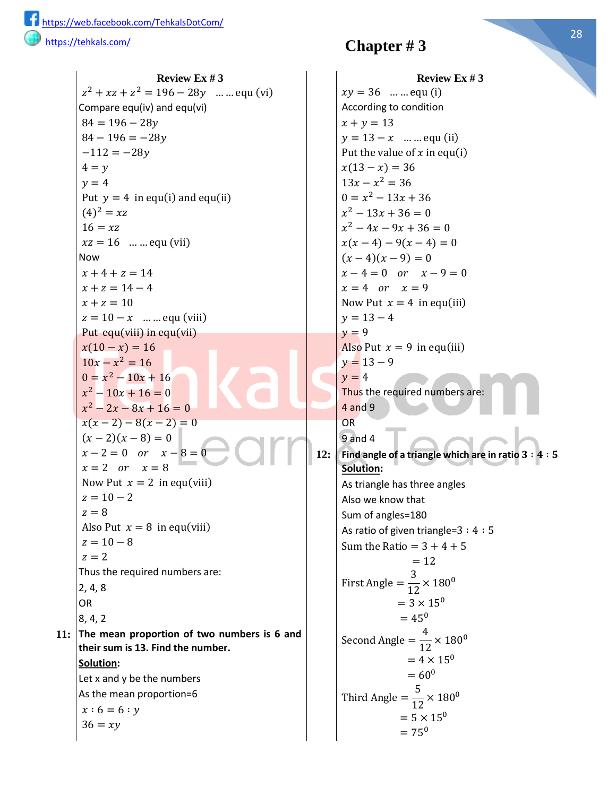**Review Ex # 3 Review Ex # 3 8: What number should be subtracted to each f the number 6, 8, 7 and 11 so that the remaining numbers are in proportion? Solution:** Suppose the number  $= x$ As  $x$  is subtracted to each of number So according to condition  $6 - x : 8 - x = 7 - x : 11 - x$ Product of mean = Product of extreme  $(8 - x)(7 - x) = (6 - x)(11 - x)$  $56 - 8x - 7x + x^2 = 66 - 6x - 11x + x^2$  $56 - 15x + x^2 = 66 - 17x + x^2$  $x^2 - 15x + 56 = x^2 - 17x + 66$  $x^2 - x^2 - 15x + 17x + 56 - 66 = 0$  $2x - 10 = 0$  $2x = 10$ Divide B. S by 2  $2x$  $\frac{1}{2}$ 10 2  $x = 5$ Thus 5 should be subtracted to each number So, number becomes  $6 - 5 : 8 - 5 = 7 - 5 : 11 - 5$  $1:3 = 2:6$ **9:** The ratio between two numbers is 8 : 3 and their difference is 20. Find the numbers.<br> **Solution: Solution:** Let the two numbers are x and y According to first condition  $x : y = 8 : 3$  8  $\frac{0}{y} = \frac{0}{3}$ By cross multiplication  $3x = 8y$  ... ... equ(i) Now according to second condition  $x - y = 20$  $x = 20 + y$  ... ... . equ(ii) Put the value of  $x$  in equ(i)  $3(20 + y) = 8y$  $60 + 3y = 8y$  $60 = 8y - 3y$ 

 $60 = 5v$ 



```
60
      \frac{x}{5} = y12 = yy = 12Put the value of y in equ(ii)
     x = 20 + 12x = 32Thus the required numbers are 32 and 12 is 
      8 ∶ 3 and their difference is 20.
                            OR
     Let first number = 8xSecond number = 3xAccording to condition
     8x - 3x = 205x = 20x =20
           5
     x = 4Now first number = 8x = 8(4) = 32Second number = 3x = 3(4) = 12Thus, the required numbers are 32 and 12 is
      8 : 3 and their difference is 20.
10: Find the number in continued proportion such that their sum is 14 and sum of their squared is 84.
     Let x, y and z be the three numbers
     As they are in continued proportion
     x : y = y : zy^2 = xz ... ... equ (i)
     According to conditions
     x + y + z = 14 ... ... equ (ii)
      x^2 + y^2 + z^2 = 84 ... ... equ (iii)
      Put y^2 = xz in equ (iii)
      x^2 + xz + z^2 = 84 ... ... equ (iv)
     From equ(ii)
     x + z = 14 - y … … equ (v)
     Taking square on B.S
      (x + z)^2 = (14 - y)^2z^2 + 2xz + z^2 = 196 - 28y + y^2Put y^2 = xzz^2 + 2xz + z^2 = 196 - 28y + xzz^2 + 2xz - xz + z^2 = 196 - 28y
```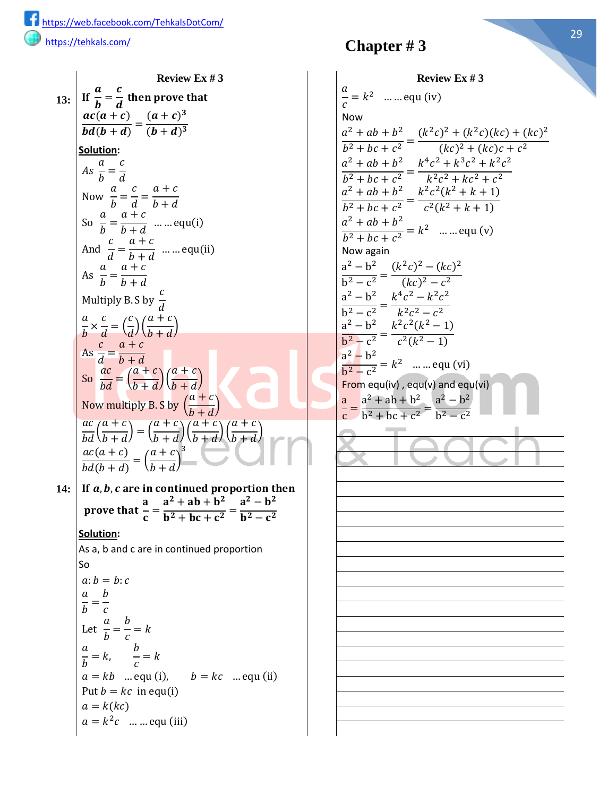$z^2 + xz + z^2 = 196 - 28y$  ... ... equ (vi) Compare equ(iv) and equ(vi)  $84 = 196 - 28y$  $84 - 196 = -28y$  $-112 = -28y$  $4 = v$  $y = 4$ Put  $y = 4$  in equ(i) and equ(ii)  $(4)^2 = xz$  $16 = xz$  $xz = 16$  ... ... equ (vii) Now  $x + 4 + z = 14$  $x + z = 14 - 4$  $x + z = 10$  $z = 10 - x$  … … equ (viii) Put equ(viii) in equ(vii)  $x(10 - x) = 16$  $10x - x^2 = 16$  $0 = x^2 - 10x + 16$  $x^2 - 10x + 16 = 0$  $x^2 - 2x - 8x + 16 = 0$  $x(x-2) - 8(x - 2) = 0$  $(x - 2)(x - 8) = 0$  $x - 2 = 0$  or  $x - 8 = 0$  $x = 2$  or  $x = 8$ Now Put  $x = 2$  in equ(viii)  $z = 10 - 2$  $z = 8$ Also Put  $x = 8$  in equ(viii)  $z = 10 - 8$  $z = 2$ Thus the required numbers are: 2, 4, 8 OR 8, 4, 2 **11: The mean proportion of two numbers is 6 and their sum is 13. Find the number. Solution:**

Let x and y be the numbers As the mean proportion=6  $x : 6 = 6 : y$  $36 = xy$ 

**Chapter # 3**

**Review Ex # 3 Review Ex # 3**  $xy = 36$  … … equ (i) According to condition  $x + y = 13$  $y = 13 - x$  … … equ (ii) Put the value of  $x$  in equ(i)  $x(13 - x) = 36$  $13x - x^2 = 36$  $0 = x^2 - 13x + 36$  $x^2 - 13x + 36 = 0$  $x^2 - 4x - 9x + 36 = 0$  $x(x-4)-9(x-4)=0$  $(x-4)(x-9) = 0$  $x - 4 = 0$  or  $x - 9 = 0$  $x = 4$  or  $x = 9$ Now Put  $x = 4$  in equ(iii)  $y = 13 - 4$  $\nu = 9$ Also Put  $x = 9$  in equ(iii)  $y = 13 - 9$  $\nu = 4$ Thus the required numbers are: 4 and 9 OR 9 and 4 **12:** Find angle of a triangle which are in ratio  $3:4:5$ **Solution:** As triangle has three angles Also we know that Sum of angles=180 As ratio of given triangle=3 : 4 : 5 Sum the Ratio =  $3 + 4 + 5$  $= 12$ First Angle = 3  $\frac{3}{12} \times 180^0$  $= 3 \times 15^{0}$  $= 45^{\circ}$ Second Angle = 4  $\frac{1}{12} \times 180^0$  $= 4 \times 15^{0}$  $= 60^0$ Third Angle = 5  $\frac{3}{12} \times 180^0$  $= 5 \times 15^{0}$  $= 75^{\circ}$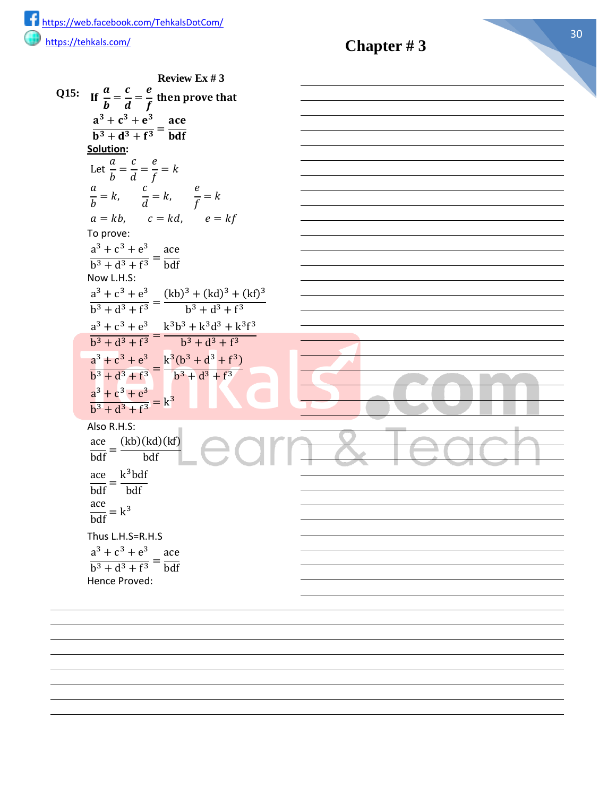**13:**  $\boldsymbol{a}$  $\frac{a}{b}$  =  $\boldsymbol{c}$  $\frac{a}{d}$  then prove that  $ac(a + c)$  $\frac{d}{bd(b+d)} =$  $(a + c)^3$  $(**b** + **d**)<sup>3</sup>$ **Solution:**  $As$  $\alpha$  $\frac{a}{b}$  =  $\mathcal{C}_{0}$  $\boldsymbol{d}$ Now  $\alpha$  $\frac{a}{b}$  =  $\mathcal{C}_{0}$  $\frac{c}{d}$  =  $a + c$  $b + d$ So  $\alpha$  $\frac{a}{b}$  =  $a + c$  $\frac{a+1}{b+d}$  ... ... equ(i) And  $\mathcal{C}_{0}$  $\frac{c}{d}$  =  $a + c$  $\frac{n+1}{b+d}$  ... ... equ(ii) As  $\alpha$  $\frac{c}{b}$  =  $a + c$  $b + d$ Multiply B. S by  $\mathcal{C}_{0}$  $\boldsymbol{d}$  $\alpha$  $\frac{a}{b}$   $\times$  $\mathcal{C}_{0}$  $\frac{c}{d} = ($  $\mathcal{C}_{0}$  $\frac{1}{d}$ )  $a + c$  $\frac{1}{b+d}$ As  $\mathcal{C}_{0}$  $\frac{1}{d}$  =  $a + c$  $b+d$ So  $ac$  $\frac{d}{d}$  = (  $a + c$  $\frac{1}{b+d}$  $a+c$  $\frac{1}{b + d}$ Now multiply B. S by (  $a + c$  $\left(\frac{h}{b+d}\right)$  $\overline{ac}$  $\frac{1}{bd}$  $a + c$  $\left(\frac{a}{b+d}\right) = \left(\frac{1}{c}\right)$  $a + c$  $\frac{a+1}{b+d}$  $a + c$  $\frac{a}{b+d}$ )  $a + c$  $\frac{a}{b+d}$  $ac(a + c)$  $\frac{ac(a + b)}{bd(b + d)} = \left(\frac{c}{b}\right)$  $a + c$  $\frac{a+1}{b+d}$ 3 14:  $\vert$  If *a*, *b*, *c* are in continued proportion then prove that a  $\frac{c}{c}$  =  $a^2 + ab + b^2$  $\frac{1}{b^2 + bc + c^2}$  =  $a^2-b^2$  $b^2-c^2$ **Solution:** As a, b and c are in continued proportion So  $a: b = b: c$  $\alpha$  $\frac{a}{b}$  =  $\boldsymbol{b}$  $\mathcal{C}_{0}$ Let  $\alpha$  $\frac{a}{b}$  =  $\boldsymbol{b}$  $\frac{c}{c} = k$  $\alpha$  $\frac{a}{b} = k$ ,  $\boldsymbol{b}$  $\frac{c}{c} = k$  $a = kb$  ... equ (i),  $b = kc$  ... equ (ii) Put  $b = kc$  in equ(i)

 $a = k(kc)$ 

 $a = k^2c$  ... ... equ (iii)

**Chapter # 3 Review Ex # 3 Review Ex # 3**  $\alpha$  $\frac{\alpha}{c} = k^2$  ... ... equ (iv) Now  $a^2 + ab + b^2$  $\frac{1}{b^2 + bc + c^2}$  =  $(k^2c)^2 + (k^2c)(kc) + (kc)^2$  $(kc)^{2} + (kc)c + c^{2}$  $a^2 + ab + b^2$  $\frac{1}{b^2 + bc + c^2}$  =  $k^4c^2 + k^3c^2 + k^2c^2$  $k^2c^2 + kc^2 + c^2$  $a^2 + ab + b^2$  $\frac{1}{b^2 + bc + c^2}$  =  $k^2c^2(k^2 + k + 1)$  $c^2(k^2 + k + 1)$  $a^2 + ab + b^2$  $\frac{a^{2}+ab+b^{2}}{b^{2}+bc+c^{2}}=k^{2}$  ... ... equ (v) Now again  $a^2 - b^2$  $\frac{c}{b^2 - c^2} =$  $(k^2c)^2 - (kc)^2$  $(kc)^2 - c^2$  $a^2 - b^2$  $\frac{c}{b^2 - c^2} =$  $k^4c^2 - k^2c^2$  $k^2c^2 - c^2$  $a^2 - b^2$  $\frac{c}{b^2-c^2}$  =  $k^2c^2(k^2-1)$  $c^2(k^2-1)$  $a^2 - b^2$  $\frac{a}{b^2 - c^2} = k^2$  ... ... equ (vi) From equ(iv) , equ(v) and equ(vi) a  $\frac{c}{c}$  =  $a^2 + ab + b^2$  $\frac{b^2 + bc + c^2}{}$  $a^2 - b^2$  $b^2 - c^2$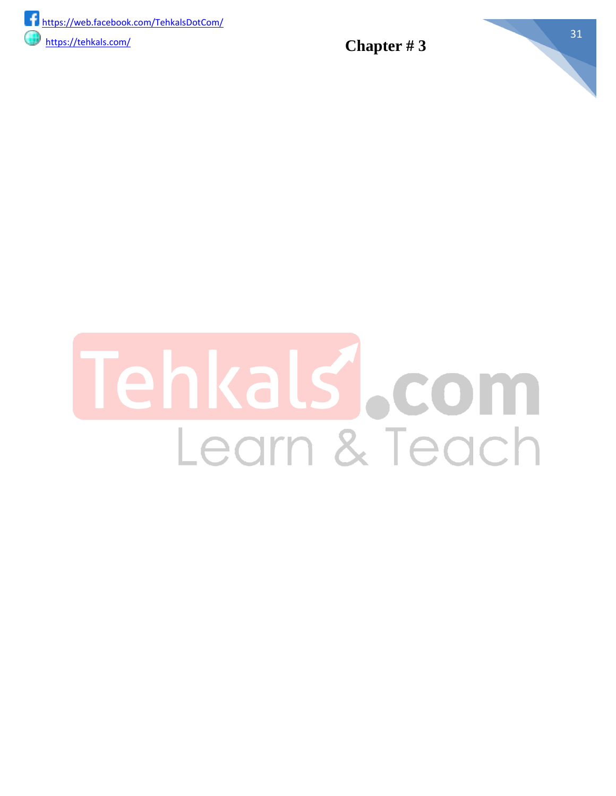